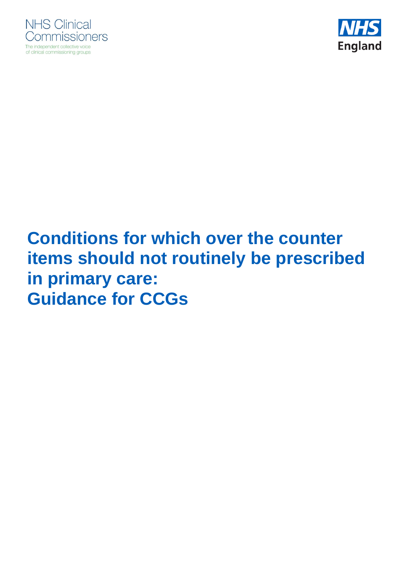



# **Conditions for which over the counter items should not routinely be prescribed in primary care: Guidance for CCGs**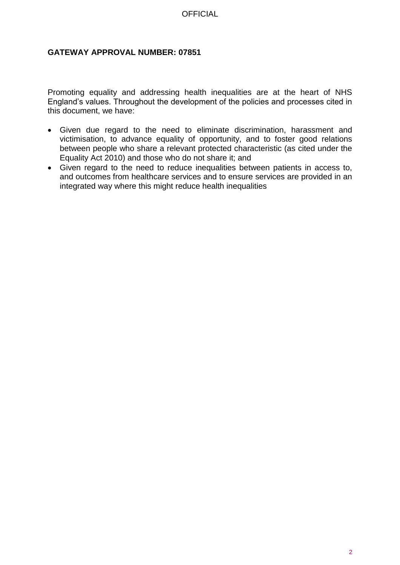#### **GATEWAY APPROVAL NUMBER: 07851**

Promoting equality and addressing health inequalities are at the heart of NHS England's values. Throughout the development of the policies and processes cited in this document, we have:

- Given due regard to the need to eliminate discrimination, harassment and victimisation, to advance equality of opportunity, and to foster good relations between people who share a relevant protected characteristic (as cited under the Equality Act 2010) and those who do not share it; and
- Given regard to the need to reduce inequalities between patients in access to, and outcomes from healthcare services and to ensure services are provided in an integrated way where this might reduce health inequalities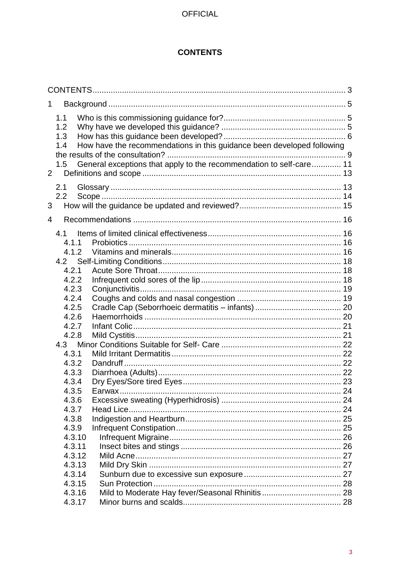### **CONTENTS**

<span id="page-2-0"></span>

| 1           |                                 |                                                                                                                                               |  |
|-------------|---------------------------------|-----------------------------------------------------------------------------------------------------------------------------------------------|--|
| $2^{\circ}$ | 1.1<br>1.2<br>1.3<br>1.4<br>1.5 | How have the recommendations in this guidance been developed following<br>General exceptions that apply to the recommendation to self-care 11 |  |
|             | 2.1                             |                                                                                                                                               |  |
|             | 2.2                             |                                                                                                                                               |  |
| 3           |                                 |                                                                                                                                               |  |
| 4           |                                 |                                                                                                                                               |  |
|             | 4.1                             |                                                                                                                                               |  |
|             | 4.1.1                           |                                                                                                                                               |  |
|             | 4.1.2                           |                                                                                                                                               |  |
|             | 4.2                             |                                                                                                                                               |  |
|             | 4.2.1                           |                                                                                                                                               |  |
|             | 4.2.2                           |                                                                                                                                               |  |
|             | 4.2.3                           |                                                                                                                                               |  |
|             | 4.2.4                           |                                                                                                                                               |  |
|             | 4.2.5                           |                                                                                                                                               |  |
|             | 4.2.6                           |                                                                                                                                               |  |
|             | 4.2.7                           |                                                                                                                                               |  |
|             | 4.2.8                           |                                                                                                                                               |  |
|             |                                 |                                                                                                                                               |  |
|             | 4.3.1                           |                                                                                                                                               |  |
|             | 4.3.2                           |                                                                                                                                               |  |
|             | 4.3.3                           |                                                                                                                                               |  |
|             | 4.3.4                           |                                                                                                                                               |  |
|             | 4.3.5                           |                                                                                                                                               |  |
|             | 4.3.6                           |                                                                                                                                               |  |
|             | 4.3.7                           |                                                                                                                                               |  |
|             | 4.3.8                           |                                                                                                                                               |  |
|             | 4.3.9                           |                                                                                                                                               |  |
|             | 4.3.10                          |                                                                                                                                               |  |
|             | 4.3.11                          |                                                                                                                                               |  |
|             | 4.3.12<br>4.3.13                |                                                                                                                                               |  |
|             | 4.3.14                          |                                                                                                                                               |  |
|             | 4.3.15                          |                                                                                                                                               |  |
|             | 4.3.16                          |                                                                                                                                               |  |
|             | 4.3.17                          |                                                                                                                                               |  |
|             |                                 |                                                                                                                                               |  |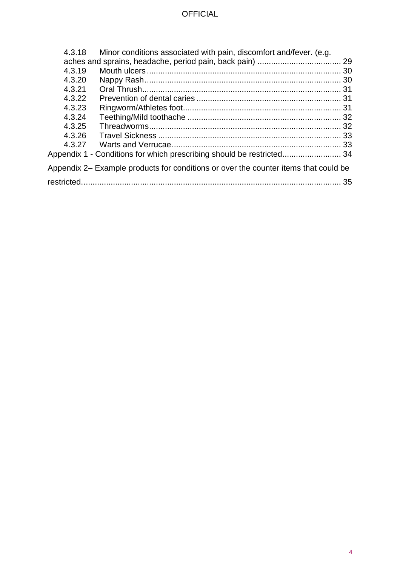| 4.3.18 | Minor conditions associated with pain, discomfort and/fever. (e.g.                  |  |  |
|--------|-------------------------------------------------------------------------------------|--|--|
|        |                                                                                     |  |  |
| 4.3.19 |                                                                                     |  |  |
| 4.3.20 |                                                                                     |  |  |
| 4.3.21 |                                                                                     |  |  |
| 4.3.22 |                                                                                     |  |  |
| 4.3.23 |                                                                                     |  |  |
| 4.3.24 |                                                                                     |  |  |
| 4.3.25 |                                                                                     |  |  |
| 4.3.26 |                                                                                     |  |  |
| 4.3.27 |                                                                                     |  |  |
|        | Appendix 1 - Conditions for which prescribing should be restricted 34               |  |  |
|        | Appendix 2– Example products for conditions or over the counter items that could be |  |  |
|        |                                                                                     |  |  |
|        |                                                                                     |  |  |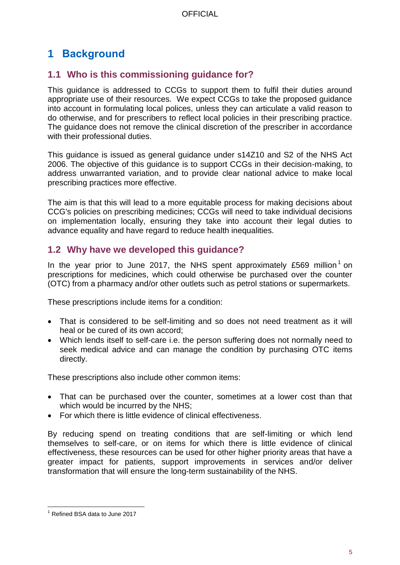# <span id="page-4-0"></span>**1 Background**

# <span id="page-4-1"></span>**1.1 Who is this commissioning guidance for?**

This guidance is addressed to CCGs to support them to fulfil their duties around appropriate use of their resources. We expect CCGs to take the proposed guidance into account in formulating local polices, unless they can articulate a valid reason to do otherwise, and for prescribers to reflect local policies in their prescribing practice. The guidance does not remove the clinical discretion of the prescriber in accordance with their professional duties.

This guidance is issued as general guidance under s14Z10 and S2 of the NHS Act 2006. The objective of this guidance is to support CCGs in their decision-making, to address unwarranted variation, and to provide clear national advice to make local prescribing practices more effective.

The aim is that this will lead to a more equitable process for making decisions about CCG's policies on prescribing medicines; CCGs will need to take individual decisions on implementation locally, ensuring they take into account their legal duties to advance equality and have regard to reduce health inequalities.

# <span id="page-4-2"></span>**1.2 Why have we developed this guidance?**

In the year prior to June 2017, the NHS spent approximately £569 million<sup>1</sup> on prescriptions for medicines, which could otherwise be purchased over the counter (OTC) from a pharmacy and/or other outlets such as petrol stations or supermarkets.

These prescriptions include items for a condition:

- That is considered to be self-limiting and so does not need treatment as it will heal or be cured of its own accord;
- Which lends itself to self-care i.e. the person suffering does not normally need to seek medical advice and can manage the condition by purchasing OTC items directly.

These prescriptions also include other common items:

- That can be purchased over the counter, sometimes at a lower cost than that which would be incurred by the NHS;
- For which there is little evidence of clinical effectiveness.

By reducing spend on treating conditions that are self-limiting or which lend themselves to self-care, or on items for which there is little evidence of clinical effectiveness, these resources can be used for other higher priority areas that have a greater impact for patients, support improvements in services and/or deliver transformation that will ensure the long-term sustainability of the NHS.

l <sup>1</sup> Refined BSA data to June 2017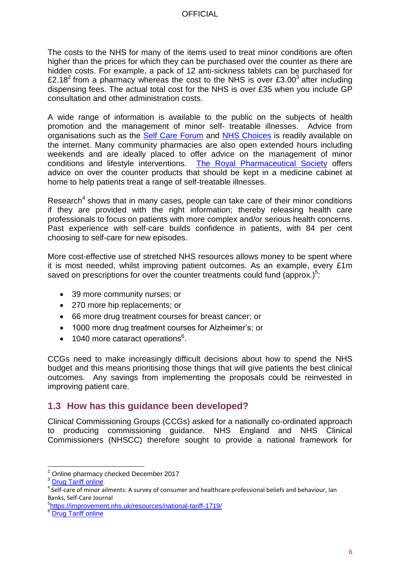The costs to the NHS for many of the items used to treat minor conditions are often higher than the prices for which they can be purchased over the counter as there are hidden costs. For example, a pack of 12 anti-sickness tablets can be purchased for £2.18<sup>2</sup> from a pharmacy whereas the cost to the NHS is over £3.00<sup>3</sup> after including dispensing fees. The actual total cost for the NHS is over £35 when you include GP consultation and other administration costs.

A wide range of information is available to the public on the subjects of health promotion and the management of minor self- treatable illnesses. Advice from organisations such as the **Self Care Forum** and NHS [Choices](https://www.nhs.uk/pages/home.aspx) is readily available on the internet. Many community pharmacies are also open extended hours including weekends and are ideally placed to offer advice on the management of minor conditions and lifestyle interventions. [The Royal Pharmaceutical Society](https://www.nhs.uk/Livewell/Pharmacy/Pages/Yourmedicinecabinet.aspx) offers advice on over the counter products that should be kept in a medicine cabinet at home to help patients treat a range of self-treatable illnesses.

Research<sup>4</sup> shows that in many cases, people can take care of their minor conditions if they are provided with the right information; thereby releasing health care professionals to focus on patients with more complex and/or serious health concerns. Past experience with self-care builds confidence in patients, with 84 per cent choosing to self-care for new episodes.

More cost-effective use of stretched NHS resources allows money to be spent where it is most needed, whilst improving patient outcomes. As an example, every £1m saved on prescriptions for over the counter treatments could fund (approx.) $5$ :

- 39 more community nurses; or
- 270 more hip replacements; or
- 66 more drug treatment courses for breast cancer; or
- 1000 more drug treatment courses for Alzheimer's; or
- 1040 more cataract operations $6$ .

CCGs need to make increasingly difficult decisions about how to spend the NHS budget and this means prioritising those things that will give patients the best clinical outcomes. Any savings from implementing the proposals could be reinvested in improving patient care.

### <span id="page-5-0"></span>**1.3 How has this guidance been developed?**

Clinical Commissioning Groups (CCGs) asked for a nationally co-ordinated approach to producing commissioning guidance. NHS England and NHS Clinical Commissioners (NHSCC) therefore sought to provide a national framework for

 $\overline{a}$  $2^{2}$  Online pharmacy checked December 2017

<sup>&</sup>lt;sup>3</sup> [Drug Tariff online](http://www.drugtariff.nhsbsa.nhs.uk/#/00469069-DB/DB00469065/Home)

<sup>&</sup>lt;sup>4</sup> Self-care of minor ailments: A survey of consumer and healthcare professional beliefs and behaviour, Ian Banks, Self-Care Journal

<sup>5</sup> <https://improvement.nhs.uk/resources/national-tariff-1719/>

<sup>&</sup>lt;sup>6</sup> [Drug Tariff online](http://www.drugtariff.nhsbsa.nhs.uk/#/00469069-DB/DB00469065/Home)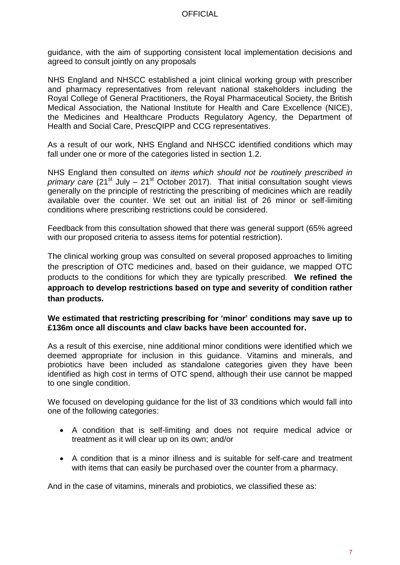guidance, with the aim of supporting consistent local implementation decisions and agreed to consult jointly on any proposals

NHS England and NHSCC established a joint clinical working group with prescriber and pharmacy representatives from relevant national stakeholders including the Royal College of General Practitioners, the Royal Pharmaceutical Society, the British Medical Association, the National Institute for Health and Care Excellence (NICE), the Medicines and Healthcare Products Regulatory Agency, the Department of Health and Social Care, PrescQIPP and CCG representatives.

As a result of our work, NHS England and NHSCC identified conditions which may fall under one or more of the categories listed in section 1.2.

NHS England then consulted on *items which should not be routinely prescribed in primary care* (21<sup>st</sup> July – 21<sup>st</sup> October 2017). That initial consultation sought views generally on the principle of restricting the prescribing of medicines which are readily available over the counter. We set out an initial list of 26 minor or self-limiting conditions where prescribing restrictions could be considered.

Feedback from this consultation showed that there was general support (65% agreed with our proposed criteria to assess items for potential restriction).

The clinical working group was consulted on several proposed approaches to limiting the prescription of OTC medicines and, based on their guidance, we mapped OTC products to the conditions for which they are typically prescribed. **We refined the approach to develop restrictions based on type and severity of condition rather than products.**

#### **We estimated that restricting prescribing for 'minor' conditions may save up to £136m once all discounts and claw backs have been accounted for.**

As a result of this exercise, nine additional minor conditions were identified which we deemed appropriate for inclusion in this guidance. Vitamins and minerals, and probiotics have been included as standalone categories given they have been identified as high cost in terms of OTC spend, although their use cannot be mapped to one single condition.

We focused on developing guidance for the list of 33 conditions which would fall into one of the following categories:

- A condition that is self-limiting and does not require medical advice or treatment as it will clear up on its own; and/or
- A condition that is a minor illness and is suitable for self-care and treatment with items that can easily be purchased over the counter from a pharmacy.

And in the case of vitamins, minerals and probiotics, we classified these as: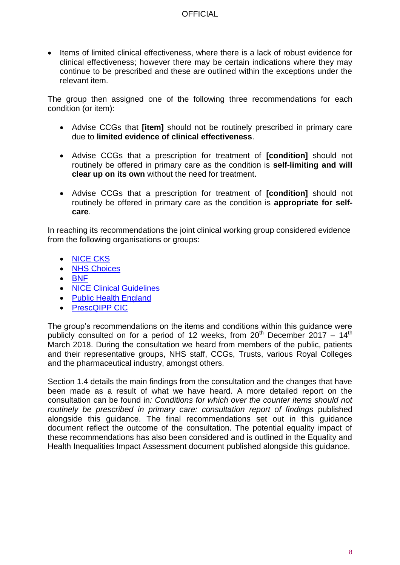• Items of limited clinical effectiveness, where there is a lack of robust evidence for clinical effectiveness; however there may be certain indications where they may continue to be prescribed and these are outlined within the exceptions under the relevant item.

The group then assigned one of the following three recommendations for each condition (or item):

- Advise CCGs that **[item]** should not be routinely prescribed in primary care due to **limited evidence of clinical effectiveness**.
- Advise CCGs that a prescription for treatment of **[condition]** should not routinely be offered in primary care as the condition is **self-limiting and will clear up on its own** without the need for treatment.
- Advise CCGs that a prescription for treatment of **[condition]** should not routinely be offered in primary care as the condition is **appropriate for selfcare**.

In reaching its recommendations the joint clinical working group considered evidence from the following organisations or groups:

- [NICE CKS](https://cks.nice.org.uk/#?char=A)
- [NHS Choices](https://www.nhs.uk/pages/home.aspx)
- $-BNF$  $-BNF$
- [NICE Clinical Guidelines](https://www.nice.org.uk/guidance)
- Public Health England
- [PrescQIPP CIC](https://www.prescqipp.info/)

The group's recommendations on the items and conditions within this guidance were publicly consulted on for a period of 12 weeks, from  $20^{th}$  December 2017 – 14<sup>th</sup> March 2018. During the consultation we heard from members of the public, patients and their representative groups, NHS staff, CCGs, Trusts, various Royal Colleges and the pharmaceutical industry, amongst others.

Section 1.4 details the main findings from the consultation and the changes that have been made as a result of what we have heard. A more detailed report on the consultation can be found in*: Conditions for which over the counter items should not*  routinely be prescribed in primary care: consultation report of findings published alongside this guidance. The final recommendations set out in this guidance document reflect the outcome of the consultation. The potential equality impact of these recommendations has also been considered and is outlined in the Equality and Health Inequalities Impact Assessment document published alongside this guidance.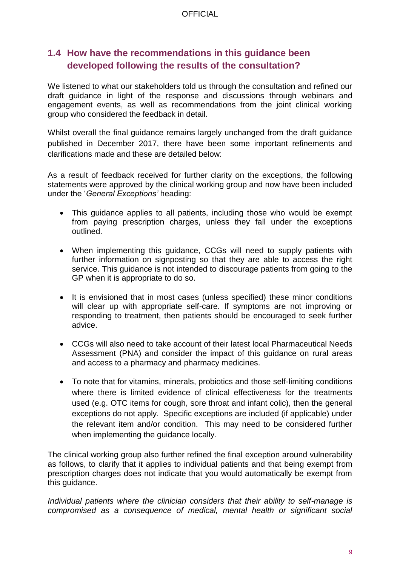# <span id="page-8-0"></span>**1.4 How have the recommendations in this guidance been developed following the results of the consultation?**

We listened to what our stakeholders told us through the consultation and refined our draft guidance in light of the response and discussions through webinars and engagement events, as well as recommendations from the joint clinical working group who considered the feedback in detail.

Whilst overall the final guidance remains largely unchanged from the draft guidance published in December 2017, there have been some important refinements and clarifications made and these are detailed below:

As a result of feedback received for further clarity on the exceptions, the following statements were approved by the clinical working group and now have been included under the '*General Exceptions'* heading:

- This guidance applies to all patients, including those who would be exempt from paying prescription charges, unless they fall under the exceptions outlined.
- When implementing this guidance, CCGs will need to supply patients with further information on signposting so that they are able to access the right service. This guidance is not intended to discourage patients from going to the GP when it is appropriate to do so.
- It is envisioned that in most cases (unless specified) these minor conditions will clear up with appropriate self-care. If symptoms are not improving or responding to treatment, then patients should be encouraged to seek further advice.
- CCGs will also need to take account of their latest local Pharmaceutical Needs Assessment (PNA) and consider the impact of this guidance on rural areas and access to a pharmacy and pharmacy medicines.
- To note that for vitamins, minerals, probiotics and those self-limiting conditions where there is limited evidence of clinical effectiveness for the treatments used (e.g. OTC items for cough, sore throat and infant colic), then the general exceptions do not apply. Specific exceptions are included (if applicable) under the relevant item and/or condition. This may need to be considered further when implementing the guidance locally*.*

The clinical working group also further refined the final exception around vulnerability as follows, to clarify that it applies to individual patients and that being exempt from prescription charges does not indicate that you would automatically be exempt from this guidance.

*Individual patients where the clinician considers that their ability to self-manage is compromised as a consequence of medical, mental health or significant social*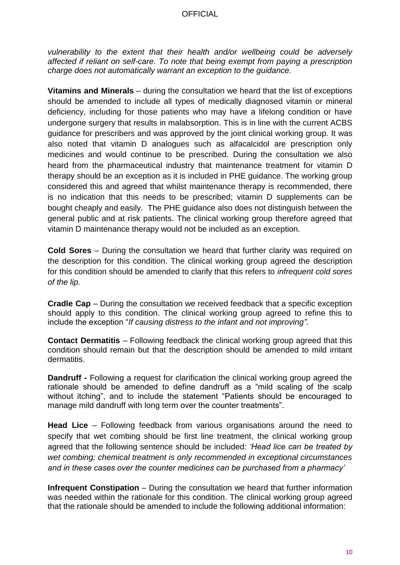*vulnerability to the extent that their health and/or wellbeing could be adversely affected if reliant on self-care. To note that being exempt from paying a prescription charge does not automatically warrant an exception to the guidance.* 

**Vitamins and Minerals** – during the consultation we heard that the list of exceptions should be amended to include all types of medically diagnosed vitamin or mineral deficiency, including for those patients who may have a lifelong condition or have undergone surgery that results in malabsorption. This is in line with the current ACBS guidance for prescribers and was approved by the joint clinical working group. It was also noted that vitamin D analogues such as alfacalcidol are prescription only medicines and would continue to be prescribed. During the consultation we also heard from the pharmaceutical industry that maintenance treatment for vitamin D therapy should be an exception as it is included in PHE guidance. The working group considered this and agreed that whilst maintenance therapy is recommended, there is no indication that this needs to be prescribed; vitamin D supplements can be bought cheaply and easily. The PHE guidance also does not distinguish between the general public and at risk patients. The clinical working group therefore agreed that vitamin D maintenance therapy would not be included as an exception.

**Cold Sores** – During the consultation we heard that further clarity was required on the description for this condition. The clinical working group agreed the description for this condition should be amended to clarify that this refers to *infrequent cold sores of the lip.* 

**Cradle Cap** – During the consultation we received feedback that a specific exception should apply to this condition. The clinical working group agreed to refine this to include the exception "*If causing distress to the infant and not improving".*

**Contact Dermatitis** – Following feedback the clinical working group agreed that this condition should remain but that the description should be amended to mild irritant dermatitis.

**Dandruff -** Following a request for clarification the clinical working group agreed the rationale should be amended to define dandruff as a "mild scaling of the scalp without itching", and to include the statement "Patients should be encouraged to manage mild dandruff with long term over the counter treatments".

**Head Lice** – Following feedback from various organisations around the need to specify that wet combing should be first line treatment, the clinical working group agreed that the following sentence should be included: *'Head lice can be treated by wet combing; chemical treatment is only recommended in exceptional circumstances and in these cases over the counter medicines can be purchased from a pharmacy'*

**Infrequent Constipation** – During the consultation we heard that further information was needed within the rationale for this condition. The clinical working group agreed that the rationale should be amended to include the following additional information: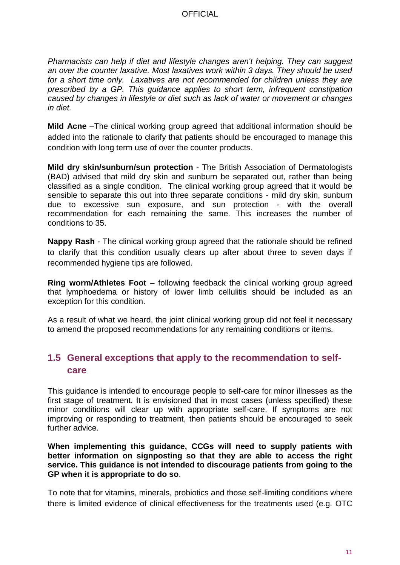*Pharmacists can help if diet and lifestyle changes aren't helping. They can suggest an over the counter laxative. Most laxatives work within 3 days. They should be used for a short time only. Laxatives are not recommended for children unless they are prescribed by a GP. This guidance applies to short term, infrequent constipation caused by changes in lifestyle or diet such as lack of water or movement or changes in diet.* 

**Mild Acne** –The clinical working group agreed that additional information should be added into the rationale to clarify that patients should be encouraged to manage this condition with long term use of over the counter products.

**Mild dry skin/sunburn/sun protection** - The British Association of Dermatologists (BAD) advised that mild dry skin and sunburn be separated out, rather than being classified as a single condition. The clinical working group agreed that it would be sensible to separate this out into three separate conditions - mild dry skin, sunburn due to excessive sun exposure, and sun protection - with the overall recommendation for each remaining the same. This increases the number of conditions to 35.

**Nappy Rash** - The clinical working group agreed that the rationale should be refined to clarify that this condition usually clears up after about three to seven days if recommended hygiene tips are followed.

**Ring worm/Athletes Foot** – following feedback the clinical working group agreed that lymphoedema or history of lower limb cellulitis should be included as an exception for this condition.

As a result of what we heard, the joint clinical working group did not feel it necessary to amend the proposed recommendations for any remaining conditions or items.

# <span id="page-10-0"></span>**1.5 General exceptions that apply to the recommendation to selfcare**

This guidance is intended to encourage people to self-care for minor illnesses as the first stage of treatment. It is envisioned that in most cases (unless specified) these minor conditions will clear up with appropriate self-care. If symptoms are not improving or responding to treatment, then patients should be encouraged to seek further advice.

**When implementing this guidance, CCGs will need to supply patients with better information on signposting so that they are able to access the right service. This guidance is not intended to discourage patients from going to the GP when it is appropriate to do so**.

To note that for vitamins, minerals, probiotics and those self-limiting conditions where there is limited evidence of clinical effectiveness for the treatments used (e.g. OTC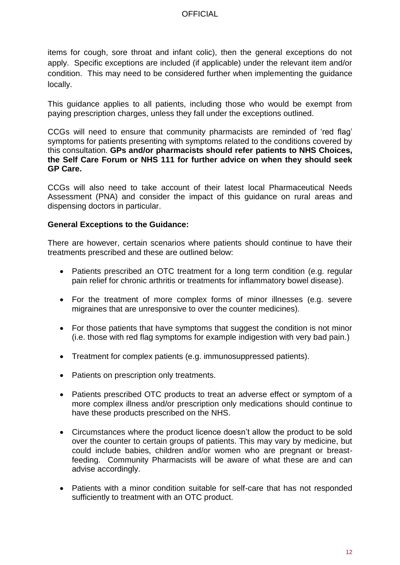items for cough, sore throat and infant colic), then the general exceptions do not apply. Specific exceptions are included (if applicable) under the relevant item and/or condition. This may need to be considered further when implementing the guidance locally.

This guidance applies to all patients, including those who would be exempt from paying prescription charges, unless they fall under the exceptions outlined.

CCGs will need to ensure that community pharmacists are reminded of 'red flag' symptoms for patients presenting with symptoms related to the conditions covered by this consultation. **GPs and/or pharmacists should refer patients to NHS Choices, the Self Care Forum or NHS 111 for further advice on when they should seek GP Care.** 

CCGs will also need to take account of their latest local Pharmaceutical Needs Assessment (PNA) and consider the impact of this guidance on rural areas and dispensing doctors in particular.

#### **General Exceptions to the Guidance:**

There are however, certain scenarios where patients should continue to have their treatments prescribed and these are outlined below:

- Patients prescribed an OTC treatment for a long term condition (e.g. regular pain relief for chronic arthritis or treatments for inflammatory bowel disease).
- For the treatment of more complex forms of minor illnesses (e.g. severe migraines that are unresponsive to over the counter medicines).
- For those patients that have symptoms that suggest the condition is not minor (i.e. those with red flag symptoms for example indigestion with very bad pain.)
- Treatment for complex patients (e.g. immunosuppressed patients).
- Patients on prescription only treatments.
- Patients prescribed OTC products to treat an adverse effect or symptom of a more complex illness and/or prescription only medications should continue to have these products prescribed on the NHS.
- Circumstances where the product licence doesn't allow the product to be sold over the counter to certain groups of patients. This may vary by medicine, but could include babies, children and/or women who are pregnant or breastfeeding. Community Pharmacists will be aware of what these are and can advise accordingly.
- Patients with a minor condition suitable for self-care that has not responded sufficiently to treatment with an OTC product.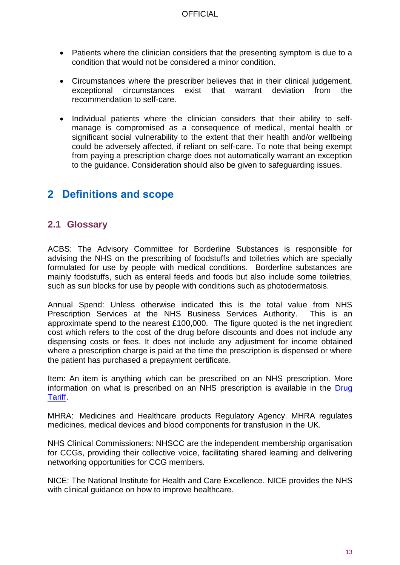- Patients where the clinician considers that the presenting symptom is due to a condition that would not be considered a minor condition.
- Circumstances where the prescriber believes that in their clinical judgement, exceptional circumstances exist that warrant deviation from the recommendation to self-care.
- Individual patients where the clinician considers that their ability to selfmanage is compromised as a consequence of medical, mental health or significant social vulnerability to the extent that their health and/or wellbeing could be adversely affected, if reliant on self-care. To note that being exempt from paying a prescription charge does not automatically warrant an exception to the guidance. Consideration should also be given to safeguarding issues.

# <span id="page-12-0"></span>**2 Definitions and scope**

### <span id="page-12-1"></span>**2.1 Glossary**

ACBS: The Advisory Committee for Borderline Substances is responsible for advising the NHS on the prescribing of foodstuffs and toiletries which are specially formulated for use by people with medical conditions. Borderline substances are mainly foodstuffs, such as enteral feeds and foods but also include some toiletries, such as sun blocks for use by people with conditions such as photodermatosis.

Annual Spend: Unless otherwise indicated this is the total value from NHS Prescription Services at the NHS Business Services Authority. This is an approximate spend to the nearest £100,000. The figure quoted is the net ingredient cost which refers to the cost of the drug before discounts and does not include any dispensing costs or fees. It does not include any adjustment for income obtained where a prescription charge is paid at the time the prescription is dispensed or where the patient has purchased a prepayment certificate.

Item: An item is anything which can be prescribed on an NHS prescription. More information on what is prescribed on an NHS prescription is available in the [Drug](https://www.nhsbsa.nhs.uk/pharmacies-gp-practices-and-appliance-contractors/drug-tariff)  [Tariff.](https://www.nhsbsa.nhs.uk/pharmacies-gp-practices-and-appliance-contractors/drug-tariff)

MHRA: Medicines and Healthcare products Regulatory Agency. MHRA regulates medicines, medical devices and blood components for transfusion in the UK.

NHS Clinical Commissioners: NHSCC are the independent membership organisation for CCGs, providing their collective voice, facilitating shared learning and delivering networking opportunities for CCG members.

NICE: The National Institute for Health and Care Excellence. NICE provides the NHS with clinical quidance on how to improve healthcare.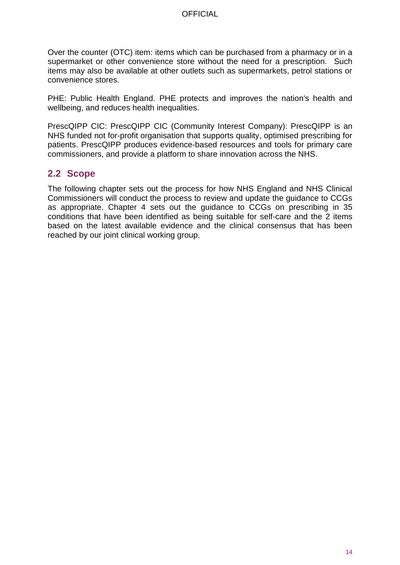Over the counter (OTC) item: items which can be purchased from a pharmacy or in a supermarket or other convenience store without the need for a prescription. Such items may also be available at other outlets such as supermarkets, petrol stations or convenience stores.

PHE: Public Health England. PHE protects and improves the nation's health and wellbeing, and reduces health inequalities.

PrescQIPP CIC: PrescQIPP CIC (Community Interest Company): PrescQIPP is an NHS funded not for-profit organisation that supports quality, optimised prescribing for patients. PrescQIPP produces evidence-based resources and tools for primary care commissioners, and provide a platform to share innovation across the NHS.

### <span id="page-13-0"></span>**2.2 Scope**

The following chapter sets out the process for how NHS England and NHS Clinical Commissioners will conduct the process to review and update the guidance to CCGs as appropriate. Chapter 4 sets out the guidance to CCGs on prescribing in 35 conditions that have been identified as being suitable for self-care and the 2 items based on the latest available evidence and the clinical consensus that has been reached by our joint clinical working group.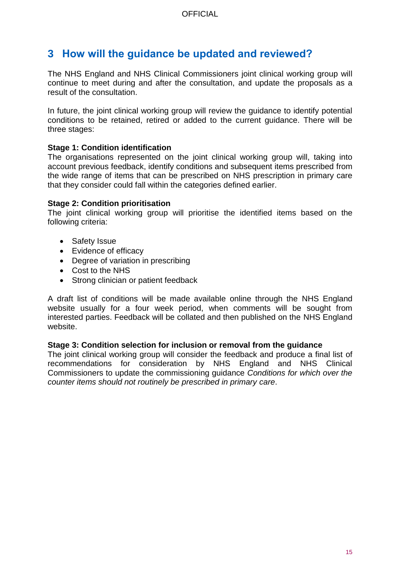# <span id="page-14-0"></span>**3 How will the guidance be updated and reviewed?**

The NHS England and NHS Clinical Commissioners joint clinical working group will continue to meet during and after the consultation, and update the proposals as a result of the consultation.

In future, the joint clinical working group will review the guidance to identify potential conditions to be retained, retired or added to the current guidance. There will be three stages:

#### **Stage 1: Condition identification**

The organisations represented on the joint clinical working group will, taking into account previous feedback, identify conditions and subsequent items prescribed from the wide range of items that can be prescribed on NHS prescription in primary care that they consider could fall within the categories defined earlier.

#### **Stage 2: Condition prioritisation**

The joint clinical working group will prioritise the identified items based on the following criteria:

- Safety Issue
- Evidence of efficacy
- Degree of variation in prescribing
- Cost to the NHS
- Strong clinician or patient feedback

A draft list of conditions will be made available online through the NHS England website usually for a four week period, when comments will be sought from interested parties. Feedback will be collated and then published on the NHS England website.

#### **Stage 3: Condition selection for inclusion or removal from the guidance**

The joint clinical working group will consider the feedback and produce a final list of recommendations for consideration by NHS England and NHS Clinical Commissioners to update the commissioning guidance *Conditions for which over the counter items should not routinely be prescribed in primary care*.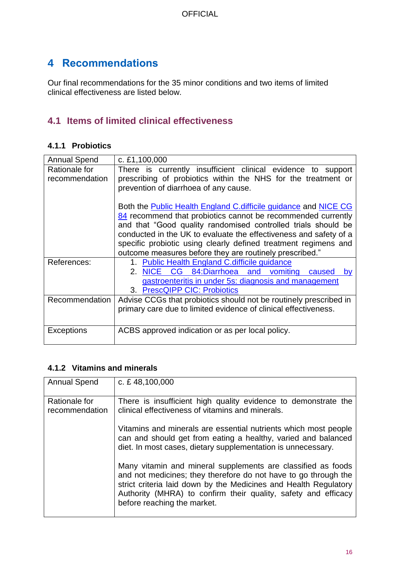# <span id="page-15-0"></span>**4 Recommendations**

Our final recommendations for the 35 minor conditions and two items of limited clinical effectiveness are listed below.

# <span id="page-15-1"></span>**4.1 Items of limited clinical effectiveness**

### <span id="page-15-2"></span>**4.1.1 Probiotics**

| <b>Annual Spend</b> | c. £1,100,000                                                                 |
|---------------------|-------------------------------------------------------------------------------|
| Rationale for       | There is currently insufficient clinical evidence to support                  |
| recommendation      | prescribing of probiotics within the NHS for the treatment or                 |
|                     | prevention of diarrhoea of any cause.                                         |
|                     |                                                                               |
|                     | Both the <b>Public Health England C.difficile guidance</b> and <b>NICE CG</b> |
|                     | 84 recommend that probiotics cannot be recommended currently                  |
|                     | and that "Good quality randomised controlled trials should be                 |
|                     | conducted in the UK to evaluate the effectiveness and safety of a             |
|                     | specific probiotic using clearly defined treatment regimens and               |
|                     | outcome measures before they are routinely prescribed."                       |
| References:         | 1. Public Health England C.difficile guidance                                 |
|                     | NICE CG 84:Diarrhoea and vomiting<br>2.<br>caused<br><b>by</b>                |
|                     | gastroenteritis in under 5s: diagnosis and management                         |
|                     | 3. PrescQIPP CIC: Probiotics                                                  |
| Recommendation      | Advise CCGs that probiotics should not be routinely prescribed in             |
|                     | primary care due to limited evidence of clinical effectiveness.               |
|                     |                                                                               |
| Exceptions          | ACBS approved indication or as per local policy.                              |
|                     |                                                                               |

#### <span id="page-15-3"></span>**4.1.2 Vitamins and minerals**

| <b>Annual Spend</b>             | c. £48,100,000                                                                                                                                                                                                                                                                                       |
|---------------------------------|------------------------------------------------------------------------------------------------------------------------------------------------------------------------------------------------------------------------------------------------------------------------------------------------------|
| Rationale for<br>recommendation | There is insufficient high quality evidence to demonstrate the<br>clinical effectiveness of vitamins and minerals.                                                                                                                                                                                   |
|                                 | Vitamins and minerals are essential nutrients which most people<br>can and should get from eating a healthy, varied and balanced<br>diet. In most cases, dietary supplementation is unnecessary.                                                                                                     |
|                                 | Many vitamin and mineral supplements are classified as foods<br>and not medicines; they therefore do not have to go through the<br>strict criteria laid down by the Medicines and Health Regulatory<br>Authority (MHRA) to confirm their quality, safety and efficacy<br>before reaching the market. |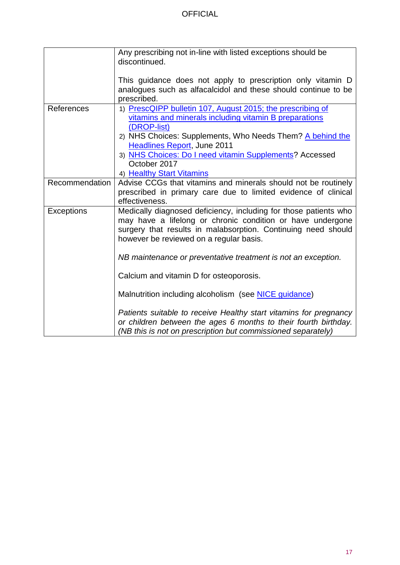|                   | Any prescribing not in-line with listed exceptions should be<br>discontinued.                                                                                                                                                                                                                                                                  |
|-------------------|------------------------------------------------------------------------------------------------------------------------------------------------------------------------------------------------------------------------------------------------------------------------------------------------------------------------------------------------|
|                   | This guidance does not apply to prescription only vitamin D<br>analogues such as alfacalcidol and these should continue to be<br>prescribed.                                                                                                                                                                                                   |
| References        | 1) PrescQIPP bulletin 107, August 2015; the prescribing of<br>vitamins and minerals including vitamin B preparations<br>(DROP-list)<br>2) NHS Choices: Supplements, Who Needs Them? A behind the<br><b>Headlines Report, June 2011</b><br>3) NHS Choices: Do I need vitamin Supplements? Accessed<br>October 2017<br>4) Healthy Start Vitamins |
| Recommendation    | Advise CCGs that vitamins and minerals should not be routinely<br>prescribed in primary care due to limited evidence of clinical<br>effectiveness.                                                                                                                                                                                             |
| <b>Exceptions</b> | Medically diagnosed deficiency, including for those patients who<br>may have a lifelong or chronic condition or have undergone<br>surgery that results in malabsorption. Continuing need should<br>however be reviewed on a regular basis.                                                                                                     |
|                   | NB maintenance or preventative treatment is not an exception.<br>Calcium and vitamin D for osteoporosis.                                                                                                                                                                                                                                       |
|                   | Malnutrition including alcoholism (see <b>NICE</b> guidance)                                                                                                                                                                                                                                                                                   |
|                   | Patients suitable to receive Healthy start vitamins for pregnancy<br>or children between the ages 6 months to their fourth birthday.<br>(NB this is not on prescription but commissioned separately)                                                                                                                                           |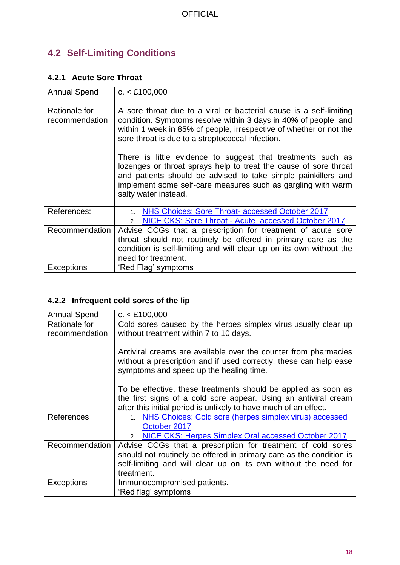# <span id="page-17-0"></span>**4.2 Self-Limiting Conditions**

### <span id="page-17-1"></span>**4.2.1 Acute Sore Throat**

| <b>Annual Spend</b>             | c. < £100,000                                                                                                                                                                                                                                                                            |
|---------------------------------|------------------------------------------------------------------------------------------------------------------------------------------------------------------------------------------------------------------------------------------------------------------------------------------|
| Rationale for<br>recommendation | A sore throat due to a viral or bacterial cause is a self-limiting<br>condition. Symptoms resolve within 3 days in 40% of people, and<br>within 1 week in 85% of people, irrespective of whether or not the<br>sore throat is due to a streptococcal infection.                          |
|                                 | There is little evidence to suggest that treatments such as<br>lozenges or throat sprays help to treat the cause of sore throat<br>and patients should be advised to take simple painkillers and<br>implement some self-care measures such as gargling with warm<br>salty water instead. |
| References:                     | NHS Choices: Sore Throat- accessed October 2017<br>$1_{-}$<br>NICE CKS: Sore Throat - Acute accessed October 2017<br>2 <sub>1</sub>                                                                                                                                                      |
| Recommendation                  | Advise CCGs that a prescription for treatment of acute sore<br>throat should not routinely be offered in primary care as the<br>condition is self-limiting and will clear up on its own without the<br>need for treatment.                                                               |
| Exceptions                      | 'Red Flag' symptoms                                                                                                                                                                                                                                                                      |

# <span id="page-17-2"></span>**4.2.2 Infrequent cold sores of the lip**

| <b>Annual Spend</b> | c. < £100,000                                                       |
|---------------------|---------------------------------------------------------------------|
| Rationale for       | Cold sores caused by the herpes simplex virus usually clear up      |
| recommendation      | without treatment within 7 to 10 days.                              |
|                     |                                                                     |
|                     | Antiviral creams are available over the counter from pharmacies     |
|                     | without a prescription and if used correctly, these can help ease   |
|                     | symptoms and speed up the healing time.                             |
|                     |                                                                     |
|                     | To be effective, these treatments should be applied as soon as      |
|                     | the first signs of a cold sore appear. Using an antiviral cream     |
|                     | after this initial period is unlikely to have much of an effect.    |
| References          | 1. NHS Choices: Cold sore (herpes simplex virus) accessed           |
|                     | October 2017                                                        |
|                     | NICE CKS: Herpes Simplex Oral accessed October 2017<br>$2^{+}$      |
| Recommendation      | Advise CCGs that a prescription for treatment of cold sores         |
|                     | should not routinely be offered in primary care as the condition is |
|                     | self-limiting and will clear up on its own without the need for     |
|                     | treatment.                                                          |
| Exceptions          | Immunocompromised patients.                                         |
|                     | 'Red flag' symptoms                                                 |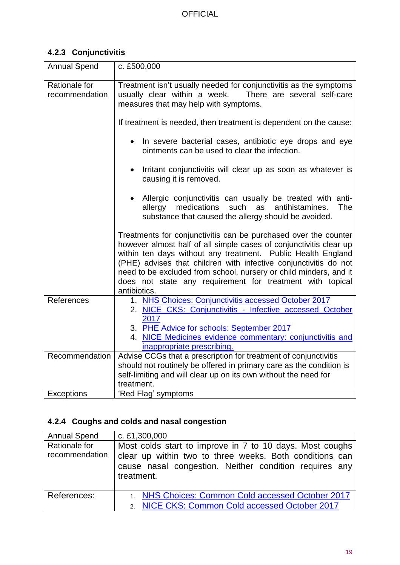# <span id="page-18-0"></span>**4.2.3 Conjunctivitis**

| <b>Annual Spend</b>             | c. £500,000                                                                                                                                                                                                                                                                                                                                                                                                                 |
|---------------------------------|-----------------------------------------------------------------------------------------------------------------------------------------------------------------------------------------------------------------------------------------------------------------------------------------------------------------------------------------------------------------------------------------------------------------------------|
| Rationale for<br>recommendation | Treatment isn't usually needed for conjunctivitis as the symptoms<br>usually clear within a week.  There are several self-care<br>measures that may help with symptoms.                                                                                                                                                                                                                                                     |
|                                 | If treatment is needed, then treatment is dependent on the cause:                                                                                                                                                                                                                                                                                                                                                           |
|                                 | In severe bacterial cases, antibiotic eye drops and eye<br>ointments can be used to clear the infection.                                                                                                                                                                                                                                                                                                                    |
|                                 | Irritant conjunctivitis will clear up as soon as whatever is<br>$\bullet$<br>causing it is removed.                                                                                                                                                                                                                                                                                                                         |
|                                 | Allergic conjunctivitis can usually be treated with anti-<br>medications<br>such<br>as<br>antihistamines.<br>allergy<br>The<br>substance that caused the allergy should be avoided.                                                                                                                                                                                                                                         |
|                                 | Treatments for conjunctivitis can be purchased over the counter<br>however almost half of all simple cases of conjunctivitis clear up<br>within ten days without any treatment. Public Health England<br>(PHE) advises that children with infective conjunctivitis do not<br>need to be excluded from school, nursery or child minders, and it<br>does not state any requirement for treatment with topical<br>antibiotics. |
| References                      | 1. NHS Choices: Conjunctivitis accessed October 2017<br>2. NICE CKS: Conjunctivitis - Infective accessed October<br>2017                                                                                                                                                                                                                                                                                                    |
|                                 | 3. PHE Advice for schools: September 2017<br>4. NICE Medicines evidence commentary: conjunctivitis and<br>inappropriate prescribing.                                                                                                                                                                                                                                                                                        |
| Recommendation                  | Advise CCGs that a prescription for treatment of conjunctivitis<br>should not routinely be offered in primary care as the condition is<br>self-limiting and will clear up on its own without the need for<br>treatment.                                                                                                                                                                                                     |
| Exceptions                      | 'Red Flag' symptoms                                                                                                                                                                                                                                                                                                                                                                                                         |

# <span id="page-18-1"></span>**4.2.4 Coughs and colds and nasal congestion**

| <b>Annual Spend</b>             | c. £1,300,000                                                                                                                                                                               |
|---------------------------------|---------------------------------------------------------------------------------------------------------------------------------------------------------------------------------------------|
| Rationale for<br>recommendation | Most colds start to improve in 7 to 10 days. Most coughs<br>clear up within two to three weeks. Both conditions can<br>cause nasal congestion. Neither condition requires any<br>treatment. |
| References:                     | 1. NHS Choices: Common Cold accessed October 2017                                                                                                                                           |
|                                 | 2. NICE CKS: Common Cold accessed October 2017                                                                                                                                              |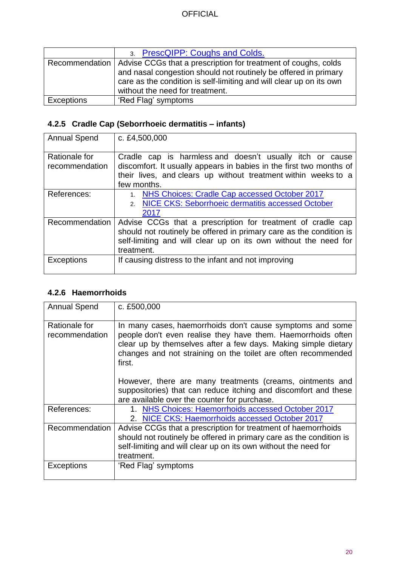|            | 3. PrescQIPP: Coughs and Colds.                                                 |
|------------|---------------------------------------------------------------------------------|
|            | Recommendation   Advise CCGs that a prescription for treatment of coughs, colds |
|            | and nasal congestion should not routinely be offered in primary                 |
|            | care as the condition is self-limiting and will clear up on its own             |
|            | without the need for treatment.                                                 |
| Exceptions | 'Red Flag' symptoms                                                             |

# <span id="page-19-0"></span>**4.2.5 Cradle Cap (Seborrhoeic dermatitis – infants)**

| <b>Annual Spend</b>             | c. £4,500,000                                                                                                                                                                                                       |
|---------------------------------|---------------------------------------------------------------------------------------------------------------------------------------------------------------------------------------------------------------------|
| Rationale for<br>recommendation | Cradle cap is harmless and doesn't usually itch or cause<br>discomfort. It usually appears in babies in the first two months of<br>their lives, and clears up without treatment within weeks to a<br>few months.    |
| References:                     | NHS Choices: Cradle Cap accessed October 2017<br>2. NICE CKS: Seborrhoeic dermatitis accessed October<br>2017                                                                                                       |
| Recommendation                  | Advise CCGs that a prescription for treatment of cradle cap<br>should not routinely be offered in primary care as the condition is<br>self-limiting and will clear up on its own without the need for<br>treatment. |
| <b>Exceptions</b>               | If causing distress to the infant and not improving                                                                                                                                                                 |

### <span id="page-19-1"></span>**4.2.6 Haemorrhoids**

| <b>Annual Spend</b>             | c. £500,000                                                                                                                                                                                                                                                                                                                         |
|---------------------------------|-------------------------------------------------------------------------------------------------------------------------------------------------------------------------------------------------------------------------------------------------------------------------------------------------------------------------------------|
| Rationale for<br>recommendation | In many cases, haemorrhoids don't cause symptoms and some<br>people don't even realise they have them. Haemorrhoids often<br>clear up by themselves after a few days. Making simple dietary<br>changes and not straining on the toilet are often recommended<br>first.<br>However, there are many treatments (creams, ointments and |
|                                 | suppositories) that can reduce itching and discomfort and these<br>are available over the counter for purchase.                                                                                                                                                                                                                     |
| References:                     | 1. NHS Choices: Haemorrhoids accessed October 2017<br>2. NICE CKS: Haemorrhoids accessed October 2017                                                                                                                                                                                                                               |
| Recommendation                  | Advise CCGs that a prescription for treatment of haemorrhoids<br>should not routinely be offered in primary care as the condition is<br>self-limiting and will clear up on its own without the need for<br>treatment.                                                                                                               |
| Exceptions                      | 'Red Flag' symptoms                                                                                                                                                                                                                                                                                                                 |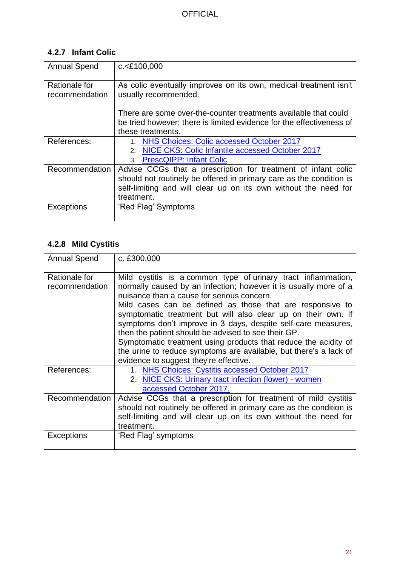# <span id="page-20-0"></span>**4.2.7 Infant Colic**

| <b>Annual Spend</b> | c. < £100,000                                                        |
|---------------------|----------------------------------------------------------------------|
|                     |                                                                      |
|                     |                                                                      |
| Rationale for       | As colic eventually improves on its own, medical treatment isn't     |
| recommendation      | usually recommended.                                                 |
|                     |                                                                      |
|                     |                                                                      |
|                     | There are some over-the-counter treatments available that could      |
|                     | be tried however; there is limited evidence for the effectiveness of |
|                     |                                                                      |
|                     | these treatments.                                                    |
| References:         | <b>NHS Choices: Colic accessed October 2017</b>                      |
|                     | NICE CKS: Colic Infantile accessed October 2017<br>$2^{2}$           |
|                     | <b>PrescQIPP: Infant Colic</b><br>3 <sub>1</sub>                     |
| Recommendation      | Advise CCGs that a prescription for treatment of infant colic        |
|                     | should not routinely be offered in primary care as the condition is  |
|                     |                                                                      |
|                     | self-limiting and will clear up on its own without the need for      |
|                     | treatment.                                                           |
| <b>Exceptions</b>   | 'Red Flag' Symptoms                                                  |
|                     |                                                                      |
|                     |                                                                      |

# <span id="page-20-1"></span>**4.2.8 Mild Cystitis**

| <b>Annual Spend</b>             | c. £300,000                                                                                                                                                                                                                                                                                                                                                                                                                                                                                                                                                                                                             |
|---------------------------------|-------------------------------------------------------------------------------------------------------------------------------------------------------------------------------------------------------------------------------------------------------------------------------------------------------------------------------------------------------------------------------------------------------------------------------------------------------------------------------------------------------------------------------------------------------------------------------------------------------------------------|
| Rationale for<br>recommendation | Mild cystitis is a common type of urinary tract inflammation,<br>normally caused by an infection; however it is usually more of a<br>nuisance than a cause for serious concern.<br>Mild cases can be defined as those that are responsive to<br>symptomatic treatment but will also clear up on their own. If<br>symptoms don't improve in 3 days, despite self-care measures,<br>then the patient should be advised to see their GP.<br>Symptomatic treatment using products that reduce the acidity of<br>the urine to reduce symptoms are available, but there's a lack of<br>evidence to suggest they're effective. |
| References:                     | 1. NHS Choices: Cystitis accessed October 2017<br>2. NICE CKS: Urinary tract infection (lower) - women<br>accessed October 2017.                                                                                                                                                                                                                                                                                                                                                                                                                                                                                        |
| Recommendation                  | Advise CCGs that a prescription for treatment of mild cystitis<br>should not routinely be offered in primary care as the condition is<br>self-limiting and will clear up on its own without the need for<br>treatment.                                                                                                                                                                                                                                                                                                                                                                                                  |
| Exceptions                      | 'Red Flag' symptoms                                                                                                                                                                                                                                                                                                                                                                                                                                                                                                                                                                                                     |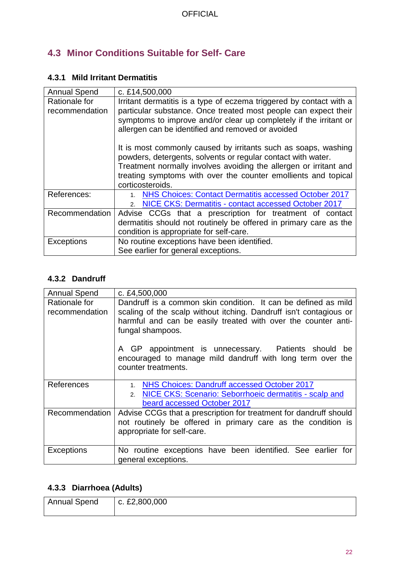# <span id="page-21-0"></span>**4.3 Minor Conditions Suitable for Self- Care**

### <span id="page-21-1"></span>**4.3.1 Mild Irritant Dermatitis**

| <b>Annual Spend</b>             | c. £14,500,000                                                                                                                                                                                                                                                                            |
|---------------------------------|-------------------------------------------------------------------------------------------------------------------------------------------------------------------------------------------------------------------------------------------------------------------------------------------|
| Rationale for<br>recommendation | Irritant dermatitis is a type of eczema triggered by contact with a<br>particular substance. Once treated most people can expect their<br>symptoms to improve and/or clear up completely if the irritant or<br>allergen can be identified and removed or avoided                          |
|                                 | It is most commonly caused by irritants such as soaps, washing<br>powders, detergents, solvents or regular contact with water.<br>Treatment normally involves avoiding the allergen or irritant and<br>treating symptoms with over the counter emollients and topical<br>corticosteroids. |
| References:                     | NHS Choices: Contact Dermatitis accessed October 2017                                                                                                                                                                                                                                     |
|                                 | NICE CKS: Dermatitis - contact accessed October 2017                                                                                                                                                                                                                                      |
| Recommendation                  | Advise CCGs that a prescription for treatment of contact                                                                                                                                                                                                                                  |
|                                 | dermatitis should not routinely be offered in primary care as the                                                                                                                                                                                                                         |
|                                 | condition is appropriate for self-care.                                                                                                                                                                                                                                                   |
| <b>Exceptions</b>               | No routine exceptions have been identified.                                                                                                                                                                                                                                               |
|                                 | See earlier for general exceptions.                                                                                                                                                                                                                                                       |

# <span id="page-21-2"></span>**4.3.2 Dandruff**

| <b>Annual Spend</b>             | c. £4,500,000                                                                                                                                                                                                             |
|---------------------------------|---------------------------------------------------------------------------------------------------------------------------------------------------------------------------------------------------------------------------|
| Rationale for<br>recommendation | Dandruff is a common skin condition. It can be defined as mild<br>scaling of the scalp without itching. Dandruff isn't contagious or<br>harmful and can be easily treated with over the counter anti-<br>fungal shampoos. |
|                                 | A GP appointment is unnecessary. Patients should be<br>encouraged to manage mild dandruff with long term over the<br>counter treatments.                                                                                  |
| References                      | NHS Choices: Dandruff accessed October 2017<br>1 <sup>1</sup><br>NICE CKS: Scenario: Seborrhoeic dermatitis - scalp and<br>$2^{2}$<br>beard accessed October 2017                                                         |
| Recommendation                  | Advise CCGs that a prescription for treatment for dandruff should<br>not routinely be offered in primary care as the condition is<br>appropriate for self-care.                                                           |
| <b>Exceptions</b>               | No routine exceptions have been identified. See earlier for<br>general exceptions.                                                                                                                                        |

# <span id="page-21-3"></span>**4.3.3 Diarrhoea (Adults)**

| Annual Spend | c. £2,800,000 |
|--------------|---------------|
|              |               |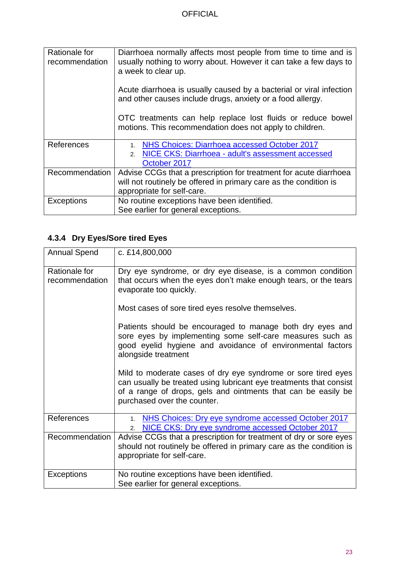| Rationale for<br>recommendation | Diarrhoea normally affects most people from time to time and is<br>usually nothing to worry about. However it can take a few days to<br>a week to clear up. |
|---------------------------------|-------------------------------------------------------------------------------------------------------------------------------------------------------------|
|                                 | Acute diarrhoea is usually caused by a bacterial or viral infection<br>and other causes include drugs, anxiety or a food allergy.                           |
|                                 | OTC treatments can help replace lost fluids or reduce bowel<br>motions. This recommendation does not apply to children.                                     |
| References                      | NHS Choices: Diarrhoea accessed October 2017                                                                                                                |
|                                 | NICE CKS: Diarrhoea - adult's assessment accessed<br>$2^{1}$                                                                                                |
|                                 | October 2017                                                                                                                                                |
| Recommendation                  | Advise CCGs that a prescription for treatment for acute diarrhoea                                                                                           |
|                                 | will not routinely be offered in primary care as the condition is                                                                                           |
|                                 | appropriate for self-care.                                                                                                                                  |
| <b>Exceptions</b>               | No routine exceptions have been identified.                                                                                                                 |
|                                 | See earlier for general exceptions.                                                                                                                         |

# <span id="page-22-0"></span>**4.3.4 Dry Eyes/Sore tired Eyes**

| <b>Annual Spend</b>             | c. £14,800,000                                                                                                                                                                                                                      |
|---------------------------------|-------------------------------------------------------------------------------------------------------------------------------------------------------------------------------------------------------------------------------------|
| Rationale for<br>recommendation | Dry eye syndrome, or dry eye disease, is a common condition<br>that occurs when the eyes don't make enough tears, or the tears<br>evaporate too quickly.                                                                            |
|                                 | Most cases of sore tired eyes resolve themselves.                                                                                                                                                                                   |
|                                 | Patients should be encouraged to manage both dry eyes and<br>sore eyes by implementing some self-care measures such as<br>good eyelid hygiene and avoidance of environmental factors<br>alongside treatment                         |
|                                 | Mild to moderate cases of dry eye syndrome or sore tired eyes<br>can usually be treated using lubricant eye treatments that consist<br>of a range of drops, gels and ointments that can be easily be<br>purchased over the counter. |
| References                      | NHS Choices: Dry eye syndrome accessed October 2017<br>1 <sup>1</sup><br>NICE CKS: Dry eye syndrome accessed October 2017<br>2.                                                                                                     |
| Recommendation                  | Advise CCGs that a prescription for treatment of dry or sore eyes<br>should not routinely be offered in primary care as the condition is<br>appropriate for self-care.                                                              |
| <b>Exceptions</b>               | No routine exceptions have been identified.<br>See earlier for general exceptions.                                                                                                                                                  |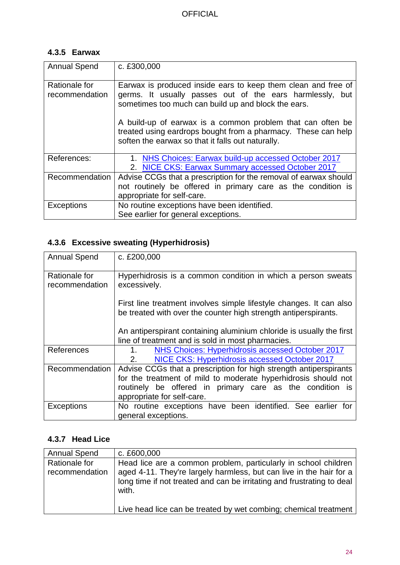### <span id="page-23-0"></span>**4.3.5 Earwax**

| <b>Annual Spend</b>             | c. £300,000                                                                                                                                                                      |
|---------------------------------|----------------------------------------------------------------------------------------------------------------------------------------------------------------------------------|
| Rationale for<br>recommendation | Earwax is produced inside ears to keep them clean and free of<br>germs. It usually passes out of the ears harmlessly, but<br>sometimes too much can build up and block the ears. |
|                                 | A build-up of earwax is a common problem that can often be<br>treated using eardrops bought from a pharmacy. These can help<br>soften the earwax so that it falls out naturally. |
| References:                     | 1. NHS Choices: Earwax build-up accessed October 2017<br>2. NICE CKS: Earwax Summary accessed October 2017                                                                       |
| Recommendation                  | Advise CCGs that a prescription for the removal of earwax should                                                                                                                 |
|                                 | not routinely be offered in primary care as the condition is                                                                                                                     |
|                                 | appropriate for self-care.                                                                                                                                                       |
| <b>Exceptions</b>               | No routine exceptions have been identified.                                                                                                                                      |
|                                 | See earlier for general exceptions.                                                                                                                                              |

# <span id="page-23-1"></span>**4.3.6 Excessive sweating (Hyperhidrosis)**

| <b>Annual Spend</b>                    | c. £200,000                                                                                                                            |
|----------------------------------------|----------------------------------------------------------------------------------------------------------------------------------------|
| <b>Rationale for</b><br>recommendation | Hyperhidrosis is a common condition in which a person sweats<br>excessively.                                                           |
|                                        | First line treatment involves simple lifestyle changes. It can also<br>be treated with over the counter high strength antiperspirants. |
|                                        | An antiperspirant containing aluminium chloride is usually the first<br>line of treatment and is sold in most pharmacies.              |
| References                             | NHS Choices: Hyperhidrosis accessed October 2017<br>1.                                                                                 |
|                                        | NICE CKS: Hyperhidrosis accessed October 2017<br>2.                                                                                    |
| Recommendation                         | Advise CCGs that a prescription for high strength antiperspirants                                                                      |
|                                        | for the treatment of mild to moderate hyperhidrosis should not                                                                         |
|                                        | routinely be offered in primary care as the condition is                                                                               |
|                                        | appropriate for self-care.                                                                                                             |
| <b>Exceptions</b>                      | No routine exceptions have been identified. See earlier for                                                                            |
|                                        | general exceptions.                                                                                                                    |

# <span id="page-23-2"></span>**4.3.7 Head Lice**

| <b>Annual Spend</b>             | c. £600,000                                                                                                                                                                                                               |
|---------------------------------|---------------------------------------------------------------------------------------------------------------------------------------------------------------------------------------------------------------------------|
| Rationale for<br>recommendation | Head lice are a common problem, particularly in school children<br>aged 4-11. They're largely harmless, but can live in the hair for a<br>long time if not treated and can be irritating and frustrating to deal<br>with. |
|                                 | Live head lice can be treated by wet combing; chemical treatment                                                                                                                                                          |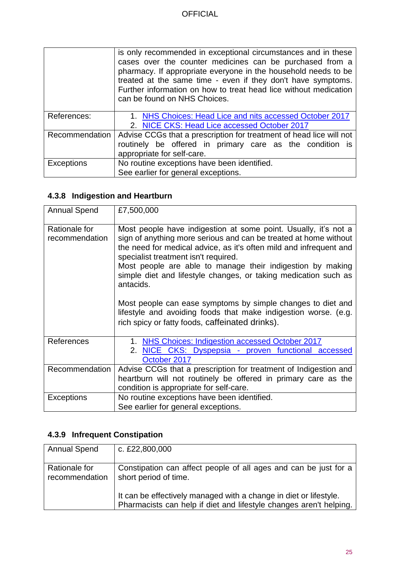|                   | is only recommended in exceptional circumstances and in these<br>cases over the counter medicines can be purchased from a<br>pharmacy. If appropriate everyone in the household needs to be<br>treated at the same time - even if they don't have symptoms.<br>Further information on how to treat head lice without medication<br>can be found on NHS Choices. |
|-------------------|-----------------------------------------------------------------------------------------------------------------------------------------------------------------------------------------------------------------------------------------------------------------------------------------------------------------------------------------------------------------|
| References:       | 1. NHS Choices: Head Lice and nits accessed October 2017<br>2. NICE CKS: Head Lice accessed October 2017                                                                                                                                                                                                                                                        |
| Recommendation    | Advise CCGs that a prescription for treatment of head lice will not                                                                                                                                                                                                                                                                                             |
|                   | routinely be offered in primary care as the condition is                                                                                                                                                                                                                                                                                                        |
|                   | appropriate for self-care.                                                                                                                                                                                                                                                                                                                                      |
| <b>Exceptions</b> | No routine exceptions have been identified.                                                                                                                                                                                                                                                                                                                     |
|                   | See earlier for general exceptions.                                                                                                                                                                                                                                                                                                                             |

# <span id="page-24-0"></span>**4.3.8 Indigestion and Heartburn**

| <b>Annual Spend</b>             | £7,500,000                                                                                                                                                                                                                                                                                                                                                                                      |
|---------------------------------|-------------------------------------------------------------------------------------------------------------------------------------------------------------------------------------------------------------------------------------------------------------------------------------------------------------------------------------------------------------------------------------------------|
| Rationale for<br>recommendation | Most people have indigestion at some point. Usually, it's not a<br>sign of anything more serious and can be treated at home without<br>the need for medical advice, as it's often mild and infrequent and<br>specialist treatment isn't required.<br>Most people are able to manage their indigestion by making<br>simple diet and lifestyle changes, or taking medication such as<br>antacids. |
|                                 | Most people can ease symptoms by simple changes to diet and<br>lifestyle and avoiding foods that make indigestion worse. (e.g.<br>rich spicy or fatty foods, caffeinated drinks).                                                                                                                                                                                                               |
| References                      | 1. NHS Choices: Indigestion accessed October 2017<br>2. NICE CKS: Dyspepsia - proven functional accessed<br>October 2017                                                                                                                                                                                                                                                                        |
| Recommendation                  | Advise CCGs that a prescription for treatment of Indigestion and<br>heartburn will not routinely be offered in primary care as the<br>condition is appropriate for self-care.                                                                                                                                                                                                                   |
| <b>Exceptions</b>               | No routine exceptions have been identified.<br>See earlier for general exceptions.                                                                                                                                                                                                                                                                                                              |

# <span id="page-24-1"></span>**4.3.9 Infrequent Constipation**

| <b>Annual Spend</b>             | c. £22,800,000                                                                                                                          |
|---------------------------------|-----------------------------------------------------------------------------------------------------------------------------------------|
| Rationale for<br>recommendation | Constipation can affect people of all ages and can be just for a<br>short period of time.                                               |
|                                 | It can be effectively managed with a change in diet or lifestyle.<br>Pharmacists can help if diet and lifestyle changes aren't helping. |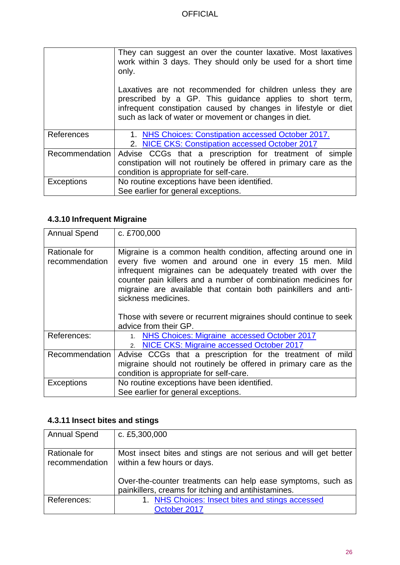|                   | They can suggest an over the counter laxative. Most laxatives<br>work within 3 days. They should only be used for a short time<br>only.                                                                                                           |
|-------------------|---------------------------------------------------------------------------------------------------------------------------------------------------------------------------------------------------------------------------------------------------|
|                   | Laxatives are not recommended for children unless they are<br>prescribed by a GP. This guidance applies to short term,<br>infrequent constipation caused by changes in lifestyle or diet<br>such as lack of water or movement or changes in diet. |
| References        | 1. NHS Choices: Constipation accessed October 2017.<br>2. NICE CKS: Constipation accessed October 2017                                                                                                                                            |
| Recommendation    | Advise CCGs that a prescription for treatment of simple<br>constipation will not routinely be offered in primary care as the<br>condition is appropriate for self-care.                                                                           |
| <b>Exceptions</b> | No routine exceptions have been identified.<br>See earlier for general exceptions.                                                                                                                                                                |

# <span id="page-25-0"></span>**4.3.10 Infrequent Migraine**

| <b>Annual Spend</b>             | c. £700,000                                                                                                                                                                                                                                                                                                                                        |
|---------------------------------|----------------------------------------------------------------------------------------------------------------------------------------------------------------------------------------------------------------------------------------------------------------------------------------------------------------------------------------------------|
| Rationale for<br>recommendation | Migraine is a common health condition, affecting around one in<br>every five women and around one in every 15 men. Mild<br>infrequent migraines can be adequately treated with over the<br>counter pain killers and a number of combination medicines for<br>migraine are available that contain both painkillers and anti-<br>sickness medicines. |
|                                 | Those with severe or recurrent migraines should continue to seek<br>advice from their GP.                                                                                                                                                                                                                                                          |
| References:                     | 1. NHS Choices: Migraine accessed October 2017                                                                                                                                                                                                                                                                                                     |
|                                 | NICE CKS: Migraine accessed October 2017<br>$2^{+}$                                                                                                                                                                                                                                                                                                |
| Recommendation                  | Advise CCGs that a prescription for the treatment of mild                                                                                                                                                                                                                                                                                          |
|                                 | migraine should not routinely be offered in primary care as the                                                                                                                                                                                                                                                                                    |
|                                 | condition is appropriate for self-care.                                                                                                                                                                                                                                                                                                            |
| <b>Exceptions</b>               | No routine exceptions have been identified.                                                                                                                                                                                                                                                                                                        |
|                                 | See earlier for general exceptions.                                                                                                                                                                                                                                                                                                                |

# <span id="page-25-1"></span>**4.3.11 Insect bites and stings**

| <b>Annual Spend</b>             | c. £5,300,000                                                                                                      |
|---------------------------------|--------------------------------------------------------------------------------------------------------------------|
| Rationale for<br>recommendation | Most insect bites and stings are not serious and will get better<br>within a few hours or days.                    |
|                                 | Over-the-counter treatments can help ease symptoms, such as<br>painkillers, creams for itching and antihistamines. |
| References:                     | 1. NHS Choices: Insect bites and stings accessed<br>October 2017                                                   |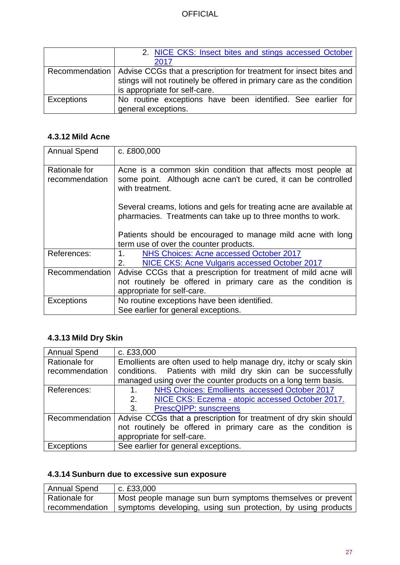|                   | 2. NICE CKS: Insect bites and stings accessed October                               |
|-------------------|-------------------------------------------------------------------------------------|
|                   | 2017                                                                                |
|                   | Recommendation   Advise CCGs that a prescription for treatment for insect bites and |
|                   | stings will not routinely be offered in primary care as the condition               |
|                   | is appropriate for self-care.                                                       |
| <b>Exceptions</b> | No routine exceptions have been identified. See earlier for                         |
|                   | general exceptions.                                                                 |

### <span id="page-26-0"></span>**4.3.12 Mild Acne**

| <b>Annual Spend</b>             | c. £800,000                                                                                                                                      |
|---------------------------------|--------------------------------------------------------------------------------------------------------------------------------------------------|
| Rationale for<br>recommendation | Acne is a common skin condition that affects most people at<br>some point. Although acne can't be cured, it can be controlled<br>with treatment. |
|                                 | Several creams, lotions and gels for treating acne are available at<br>pharmacies. Treatments can take up to three months to work.               |
|                                 | Patients should be encouraged to manage mild acne with long<br>term use of over the counter products.                                            |
| References:                     | NHS Choices: Acne accessed October 2017<br>$1_{\cdot}$                                                                                           |
|                                 | NICE CKS: Acne Vulgaris accessed October 2017<br>2.                                                                                              |
| Recommendation                  | Advise CCGs that a prescription for treatment of mild acne will                                                                                  |
|                                 | not routinely be offered in primary care as the condition is                                                                                     |
|                                 | appropriate for self-care.                                                                                                                       |
| Exceptions                      | No routine exceptions have been identified.                                                                                                      |
|                                 | See earlier for general exceptions.                                                                                                              |

# <span id="page-26-1"></span>**4.3.13 Mild Dry Skin**

| <b>Annual Spend</b> | c. £33,000                                                        |
|---------------------|-------------------------------------------------------------------|
| Rationale for       | Emollients are often used to help manage dry, itchy or scaly skin |
| recommendation      | conditions. Patients with mild dry skin can be successfully       |
|                     | managed using over the counter products on a long term basis.     |
| References:         | NHS Choices: Emollients accessed October 2017<br>1 <sub>1</sub>   |
|                     | NICE CKS: Eczema - atopic accessed October 2017.<br>2.            |
|                     | 3.<br><b>PrescQIPP: sunscreens</b>                                |
| Recommendation      | Advise CCGs that a prescription for treatment of dry skin should  |
|                     | not routinely be offered in primary care as the condition is      |
|                     | appropriate for self-care.                                        |
| <b>Exceptions</b>   | See earlier for general exceptions.                               |

# <span id="page-26-2"></span>**4.3.14 Sunburn due to excessive sun exposure**

| <b>Annual Spend</b> | c. £33,000                                                   |
|---------------------|--------------------------------------------------------------|
| Rationale for       | Most people manage sun burn symptoms themselves or prevent   |
| recommendation      | symptoms developing, using sun protection, by using products |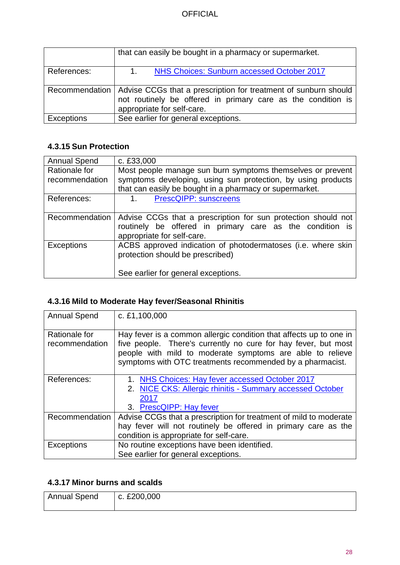|                   | that can easily be bought in a pharmacy or supermarket.                                                                                                                        |
|-------------------|--------------------------------------------------------------------------------------------------------------------------------------------------------------------------------|
| References:       | NHS Choices: Sunburn accessed October 2017<br>$1_{-}$                                                                                                                          |
|                   | Recommendation   Advise CCGs that a prescription for treatment of sunburn should<br>not routinely be offered in primary care as the condition is<br>appropriate for self-care. |
| <b>Exceptions</b> | See earlier for general exceptions.                                                                                                                                            |

# <span id="page-27-0"></span>**4.3.15 Sun Protection**

| <b>Annual Spend</b> | c. £33,000                                                    |
|---------------------|---------------------------------------------------------------|
| Rationale for       | Most people manage sun burn symptoms themselves or prevent    |
| recommendation      | symptoms developing, using sun protection, by using products  |
|                     | that can easily be bought in a pharmacy or supermarket.       |
| References:         | PrescQIPP: sunscreens<br>$1_{-}$                              |
|                     |                                                               |
| Recommendation      | Advise CCGs that a prescription for sun protection should not |
|                     | routinely be offered in primary care as the condition is      |
|                     | appropriate for self-care.                                    |
| <b>Exceptions</b>   | ACBS approved indication of photodermatoses (i.e. where skin  |
|                     | protection should be prescribed)                              |
|                     |                                                               |
|                     | See earlier for general exceptions.                           |

# <span id="page-27-1"></span>**4.3.16 Mild to Moderate Hay fever/Seasonal Rhinitis**

| <b>Annual Spend</b>             | c. £1,100,000                                                                                                                                                                                                                                                  |
|---------------------------------|----------------------------------------------------------------------------------------------------------------------------------------------------------------------------------------------------------------------------------------------------------------|
| Rationale for<br>recommendation | Hay fever is a common allergic condition that affects up to one in<br>five people. There's currently no cure for hay fever, but most<br>people with mild to moderate symptoms are able to relieve<br>symptoms with OTC treatments recommended by a pharmacist. |
| References:                     | NHS Choices: Hay fever accessed October 2017<br>2. NICE CKS: Allergic rhinitis - Summary accessed October<br>2017<br>3. PrescQIPP: Hay fever                                                                                                                   |
| Recommendation                  | Advise CCGs that a prescription for treatment of mild to moderate<br>hay fever will not routinely be offered in primary care as the<br>condition is appropriate for self-care.                                                                                 |
| <b>Exceptions</b>               | No routine exceptions have been identified.<br>See earlier for general exceptions.                                                                                                                                                                             |

# <span id="page-27-2"></span>**4.3.17 Minor burns and scalds**

| Annual Spend | c. £200,000 |
|--------------|-------------|
|              |             |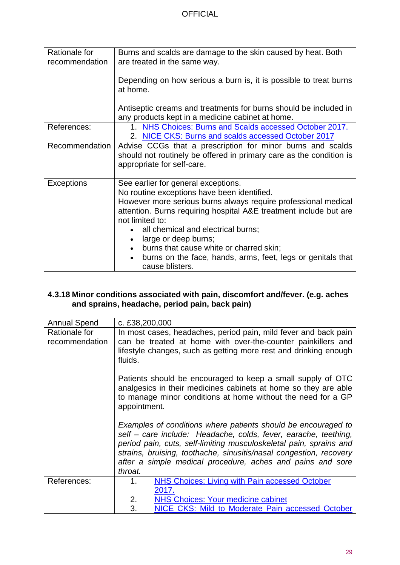| Rationale for<br>recommendation | Burns and scalds are damage to the skin caused by heat. Both<br>are treated in the same way.                                                                                                                                                                                                                                                                                                                                            |
|---------------------------------|-----------------------------------------------------------------------------------------------------------------------------------------------------------------------------------------------------------------------------------------------------------------------------------------------------------------------------------------------------------------------------------------------------------------------------------------|
|                                 | Depending on how serious a burn is, it is possible to treat burns<br>at home.                                                                                                                                                                                                                                                                                                                                                           |
|                                 | Antiseptic creams and treatments for burns should be included in<br>any products kept in a medicine cabinet at home.                                                                                                                                                                                                                                                                                                                    |
| References:                     | 1. NHS Choices: Burns and Scalds accessed October 2017.<br>2. NICE CKS: Burns and scalds accessed October 2017                                                                                                                                                                                                                                                                                                                          |
| Recommendation                  | Advise CCGs that a prescription for minor burns and scalds<br>should not routinely be offered in primary care as the condition is<br>appropriate for self-care.                                                                                                                                                                                                                                                                         |
| <b>Exceptions</b>               | See earlier for general exceptions.<br>No routine exceptions have been identified.<br>However more serious burns always require professional medical<br>attention. Burns requiring hospital A&E treatment include but are<br>not limited to:<br>all chemical and electrical burns;<br>large or deep burns;<br>burns that cause white or charred skin;<br>burns on the face, hands, arms, feet, legs or genitals that<br>cause blisters. |

#### <span id="page-28-0"></span>**4.3.18 Minor conditions associated with pain, discomfort and/fever. (e.g. aches and sprains, headache, period pain, back pain)**

| <b>Annual Spend</b>             | c. £38,200,000                                                                                                                                                                                                                                                                                                                                        |
|---------------------------------|-------------------------------------------------------------------------------------------------------------------------------------------------------------------------------------------------------------------------------------------------------------------------------------------------------------------------------------------------------|
| Rationale for<br>recommendation | In most cases, headaches, period pain, mild fever and back pain<br>can be treated at home with over-the-counter painkillers and<br>lifestyle changes, such as getting more rest and drinking enough<br>fluids.                                                                                                                                        |
|                                 | Patients should be encouraged to keep a small supply of OTC<br>analgesics in their medicines cabinets at home so they are able<br>to manage minor conditions at home without the need for a GP<br>appointment.                                                                                                                                        |
|                                 | Examples of conditions where patients should be encouraged to<br>self - care include: Headache, colds, fever, earache, teething,<br>period pain, cuts, self-limiting musculoskeletal pain, sprains and<br>strains, bruising, toothache, sinusitis/nasal congestion, recovery<br>after a simple medical procedure, aches and pains and sore<br>throat. |
| References:                     | <b>NHS Choices: Living with Pain accessed October</b><br>1.<br>2017.                                                                                                                                                                                                                                                                                  |
|                                 | 2.<br><b>NHS Choices: Your medicine cabinet</b>                                                                                                                                                                                                                                                                                                       |
|                                 | 3.<br>NICE CKS: Mild to Moderate Pain accessed October                                                                                                                                                                                                                                                                                                |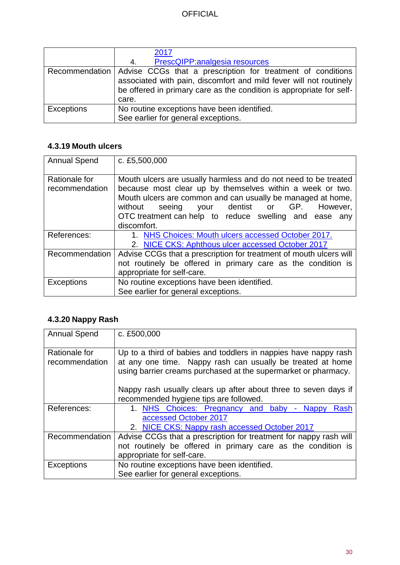|                   | 2017<br>PrescQIPP: analgesia resources<br>4.                                                                                                                                                                                        |
|-------------------|-------------------------------------------------------------------------------------------------------------------------------------------------------------------------------------------------------------------------------------|
|                   | Recommendation   Advise CCGs that a prescription for treatment of conditions<br>associated with pain, discomfort and mild fever will not routinely<br>be offered in primary care as the condition is appropriate for self-<br>care. |
| <b>Exceptions</b> | No routine exceptions have been identified.<br>See earlier for general exceptions.                                                                                                                                                  |

# <span id="page-29-0"></span>**4.3.19 Mouth ulcers**

| <b>Annual Spend</b>             | c. £5,500,000                                                                                                                                                                                                                                                                                                                   |
|---------------------------------|---------------------------------------------------------------------------------------------------------------------------------------------------------------------------------------------------------------------------------------------------------------------------------------------------------------------------------|
| Rationale for<br>recommendation | Mouth ulcers are usually harmless and do not need to be treated<br>because most clear up by themselves within a week or two.<br>Mouth ulcers are common and can usually be managed at home,<br>your dentist or GP.<br>without<br>seeing<br>However,<br>OTC treatment can help to reduce swelling and ease<br>any<br>discomfort. |
| References:                     | 1. NHS Choices: Mouth ulcers accessed October 2017.                                                                                                                                                                                                                                                                             |
|                                 | 2. NICE CKS: Aphthous ulcer accessed October 2017                                                                                                                                                                                                                                                                               |
| Recommendation                  | Advise CCGs that a prescription for treatment of mouth ulcers will                                                                                                                                                                                                                                                              |
|                                 | not routinely be offered in primary care as the condition is                                                                                                                                                                                                                                                                    |
|                                 | appropriate for self-care.                                                                                                                                                                                                                                                                                                      |
| <b>Exceptions</b>               | No routine exceptions have been identified.                                                                                                                                                                                                                                                                                     |
|                                 | See earlier for general exceptions.                                                                                                                                                                                                                                                                                             |

# <span id="page-29-1"></span>**4.3.20 Nappy Rash**

| <b>Annual Spend</b>             | c. £500,000                                                                                                                                                                                     |
|---------------------------------|-------------------------------------------------------------------------------------------------------------------------------------------------------------------------------------------------|
| Rationale for<br>recommendation | Up to a third of babies and toddlers in nappies have nappy rash<br>at any one time. Nappy rash can usually be treated at home<br>using barrier creams purchased at the supermarket or pharmacy. |
|                                 | Nappy rash usually clears up after about three to seven days if<br>recommended hygiene tips are followed.                                                                                       |
| References:                     | 1. NHS Choices: Pregnancy and baby<br>- Nappy<br>Rash<br>accessed October 2017<br>2. NICE CKS: Nappy rash accessed October 2017                                                                 |
| Recommendation                  | Advise CCGs that a prescription for treatment for nappy rash will                                                                                                                               |
|                                 | not routinely be offered in primary care as the condition is                                                                                                                                    |
|                                 | appropriate for self-care.                                                                                                                                                                      |
| Exceptions                      | No routine exceptions have been identified.                                                                                                                                                     |
|                                 | See earlier for general exceptions.                                                                                                                                                             |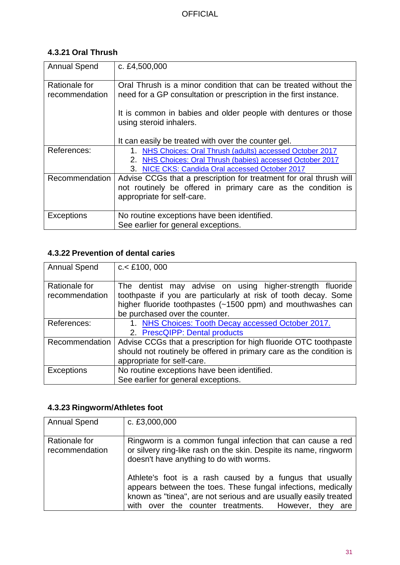# <span id="page-30-0"></span>**4.3.21 Oral Thrush**

| <b>Annual Spend</b>             | c. £4,500,000                                                                                                                                                               |
|---------------------------------|-----------------------------------------------------------------------------------------------------------------------------------------------------------------------------|
| Rationale for<br>recommendation | Oral Thrush is a minor condition that can be treated without the<br>need for a GP consultation or prescription in the first instance.                                       |
|                                 | It is common in babies and older people with dentures or those<br>using steroid inhalers.                                                                                   |
|                                 | It can easily be treated with over the counter gel.                                                                                                                         |
| References:                     | 1. NHS Choices: Oral Thrush (adults) accessed October 2017<br>2. NHS Choices: Oral Thrush (babies) accessed October 2017<br>3. NICE CKS: Candida Oral accessed October 2017 |
| Recommendation                  | Advise CCGs that a prescription for treatment for oral thrush will<br>not routinely be offered in primary care as the condition is<br>appropriate for self-care.            |
| <b>Exceptions</b>               | No routine exceptions have been identified.<br>See earlier for general exceptions.                                                                                          |

# <span id="page-30-1"></span>**4.3.22 Prevention of dental caries**

| <b>Annual Spend</b>             | $c <$ £100, 000                                                                                                                                                                                                              |
|---------------------------------|------------------------------------------------------------------------------------------------------------------------------------------------------------------------------------------------------------------------------|
| Rationale for<br>recommendation | The dentist may advise on using higher-strength fluoride<br>toothpaste if you are particularly at risk of tooth decay. Some<br>higher fluoride toothpastes (~1500 ppm) and mouthwashes can<br>be purchased over the counter. |
| References:                     | 1. NHS Choices: Tooth Decay accessed October 2017.<br>2. PrescQIPP: Dental products                                                                                                                                          |
| Recommendation                  | Advise CCGs that a prescription for high fluoride OTC toothpaste<br>should not routinely be offered in primary care as the condition is<br>appropriate for self-care.                                                        |
| <b>Exceptions</b>               | No routine exceptions have been identified.<br>See earlier for general exceptions.                                                                                                                                           |

# <span id="page-30-2"></span>**4.3.23 Ringworm/Athletes foot**

| <b>Annual Spend</b>             | c. £3,000,000                                                                                                                                                                                                                                          |
|---------------------------------|--------------------------------------------------------------------------------------------------------------------------------------------------------------------------------------------------------------------------------------------------------|
| Rationale for<br>recommendation | Ringworm is a common fungal infection that can cause a red<br>or silvery ring-like rash on the skin. Despite its name, ringworm<br>doesn't have anything to do with worms.                                                                             |
|                                 | Athlete's foot is a rash caused by a fungus that usually<br>appears between the toes. These fungal infections, medically<br>known as "tinea", are not serious and are usually easily treated<br>with over the counter treatments. However,<br>they are |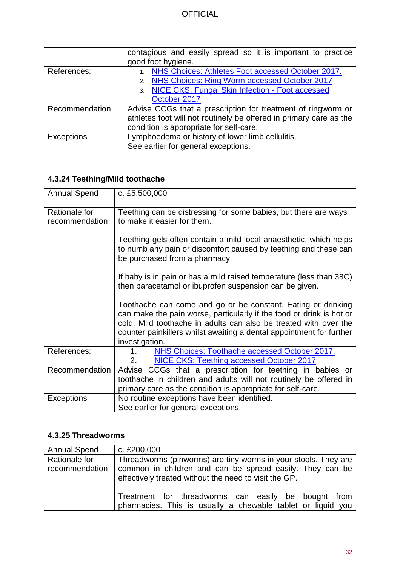|                   | contagious and easily spread so it is important to practice        |
|-------------------|--------------------------------------------------------------------|
|                   | good foot hygiene.                                                 |
| References:       | 1. NHS Choices: Athletes Foot accessed October 2017.               |
|                   | 2. NHS Choices: Ring Worm accessed October 2017                    |
|                   | 3. NICE CKS: Fungal Skin Infection - Foot accessed                 |
|                   | October 2017                                                       |
| Recommendation    | Advise CCGs that a prescription for treatment of ringworm or       |
|                   | athletes foot will not routinely be offered in primary care as the |
|                   | condition is appropriate for self-care.                            |
| <b>Exceptions</b> | Lymphoedema or history of lower limb cellulitis.                   |
|                   | See earlier for general exceptions.                                |

# <span id="page-31-0"></span>**4.3.24 Teething/Mild toothache**

| <b>Annual Spend</b>             | c. £5,500,000                                                                                                                                                                                                                                                                                      |
|---------------------------------|----------------------------------------------------------------------------------------------------------------------------------------------------------------------------------------------------------------------------------------------------------------------------------------------------|
| Rationale for<br>recommendation | Teething can be distressing for some babies, but there are ways<br>to make it easier for them.                                                                                                                                                                                                     |
|                                 |                                                                                                                                                                                                                                                                                                    |
|                                 | Teething gels often contain a mild local anaesthetic, which helps<br>to numb any pain or discomfort caused by teething and these can<br>be purchased from a pharmacy.                                                                                                                              |
|                                 | If baby is in pain or has a mild raised temperature (less than 38C)<br>then paracetamol or ibuprofen suspension can be given.                                                                                                                                                                      |
|                                 | Toothache can come and go or be constant. Eating or drinking<br>can make the pain worse, particularly if the food or drink is hot or<br>cold. Mild toothache in adults can also be treated with over the<br>counter painkillers whilst awaiting a dental appointment for further<br>investigation. |
| References:                     | NHS Choices: Toothache accessed October 2017.<br>1.<br>NICE CKS: Teething accessed October 2017<br>2.                                                                                                                                                                                              |
| Recommendation                  | Advise CCGs that a prescription for teething in babies or<br>toothache in children and adults will not routinely be offered in<br>primary care as the condition is appropriate for self-care.                                                                                                      |
| <b>Exceptions</b>               | No routine exceptions have been identified.<br>See earlier for general exceptions.                                                                                                                                                                                                                 |

# <span id="page-31-1"></span>**4.3.25 Threadworms**

| <b>Annual Spend</b>             | c. £200,000                                                                                                                                                                         |
|---------------------------------|-------------------------------------------------------------------------------------------------------------------------------------------------------------------------------------|
| Rationale for<br>recommendation | Threadworms (pinworms) are tiny worms in your stools. They are<br>common in children and can be spread easily. They can be<br>effectively treated without the need to visit the GP. |
|                                 | Treatment for threadworms can easily be bought from<br>pharmacies. This is usually a chewable tablet or liquid you                                                                  |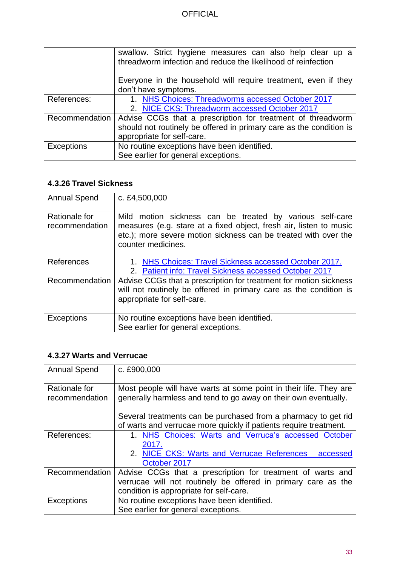|                   | swallow. Strict hygiene measures can also help clear up a           |
|-------------------|---------------------------------------------------------------------|
|                   | threadworm infection and reduce the likelihood of reinfection       |
|                   |                                                                     |
|                   | Everyone in the household will require treatment, even if they      |
|                   | don't have symptoms.                                                |
| References:       | 1. NHS Choices: Threadworms accessed October 2017                   |
|                   | 2. NICE CKS: Threadworm accessed October 2017                       |
| Recommendation    | Advise CCGs that a prescription for treatment of threadworm         |
|                   | should not routinely be offered in primary care as the condition is |
|                   | appropriate for self-care.                                          |
| <b>Exceptions</b> | No routine exceptions have been identified.                         |
|                   | See earlier for general exceptions.                                 |

# <span id="page-32-0"></span>**4.3.26 Travel Sickness**

| <b>Annual Spend</b>             | c. £4,500,000                                                                                                                                                                                                           |
|---------------------------------|-------------------------------------------------------------------------------------------------------------------------------------------------------------------------------------------------------------------------|
| Rationale for<br>recommendation | Mild motion sickness can be treated by various self-care<br>measures (e.g. stare at a fixed object, fresh air, listen to music<br>etc.); more severe motion sickness can be treated with over the<br>counter medicines. |
| References                      | 1. NHS Choices: Travel Sickness accessed October 2017.<br>2. Patient info: Travel Sickness accessed October 2017                                                                                                        |
| Recommendation                  | Advise CCGs that a prescription for treatment for motion sickness<br>will not routinely be offered in primary care as the condition is<br>appropriate for self-care.                                                    |
| <b>Exceptions</b>               | No routine exceptions have been identified.                                                                                                                                                                             |
|                                 | See earlier for general exceptions.                                                                                                                                                                                     |

### <span id="page-32-1"></span>**4.3.27 Warts and Verrucae**

| <b>Annual Spend</b>             | c. £900,000                                                                                                                          |  |
|---------------------------------|--------------------------------------------------------------------------------------------------------------------------------------|--|
| Rationale for<br>recommendation | Most people will have warts at some point in their life. They are<br>generally harmless and tend to go away on their own eventually. |  |
|                                 | Several treatments can be purchased from a pharmacy to get rid                                                                       |  |
|                                 | of warts and verrucae more quickly if patients require treatment.                                                                    |  |
| References:                     | 1. NHS Choices: Warts and Verruca's accessed October                                                                                 |  |
|                                 | 2017.                                                                                                                                |  |
|                                 | 2. NICE CKS: Warts and Verrucae References<br>accessed                                                                               |  |
|                                 | October 2017                                                                                                                         |  |
| Recommendation                  | Advise CCGs that a prescription for treatment of warts and                                                                           |  |
|                                 | verrucae will not routinely be offered in primary care as the                                                                        |  |
|                                 | condition is appropriate for self-care.                                                                                              |  |
| <b>Exceptions</b>               | No routine exceptions have been identified.                                                                                          |  |
|                                 | See earlier for general exceptions.                                                                                                  |  |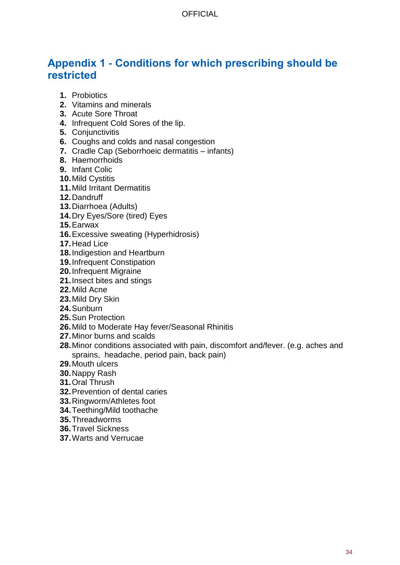# <span id="page-33-0"></span>**Appendix 1 - Conditions for which prescribing should be restricted**

- **1.** Probiotics
- **2.** Vitamins and minerals
- **3.** Acute Sore Throat
- **4.** Infrequent Cold Sores of the lip.
- **5.** Conjunctivitis
- **6.** Coughs and colds and nasal congestion
- **7.** Cradle Cap (Seborrhoeic dermatitis infants)
- **8.** Haemorrhoids
- **9.** Infant Colic
- **10.**Mild Cystitis
- **11.**Mild Irritant Dermatitis
- **12.**Dandruff
- **13.**Diarrhoea (Adults)
- **14.**Dry Eyes/Sore (tired) Eyes
- **15.**Earwax
- **16.**Excessive sweating (Hyperhidrosis)
- **17.**Head Lice
- **18.**Indigestion and Heartburn
- **19.**Infrequent Constipation
- **20.**Infrequent Migraine
- **21.**Insect bites and stings
- **22.**Mild Acne
- **23.**Mild Dry Skin
- **24.**Sunburn
- **25.**Sun Protection
- **26.**Mild to Moderate Hay fever/Seasonal Rhinitis
- **27.**Minor burns and scalds
- **28.**Minor conditions associated with pain, discomfort and/fever. (e.g. aches and sprains, headache, period pain, back pain)
- **29.**Mouth ulcers
- **30.**Nappy Rash
- **31.**Oral Thrush
- **32.**Prevention of dental caries
- **33.**Ringworm/Athletes foot
- **34.**Teething/Mild toothache
- **35.**Threadworms
- **36.**Travel Sickness
- **37.**Warts and Verrucae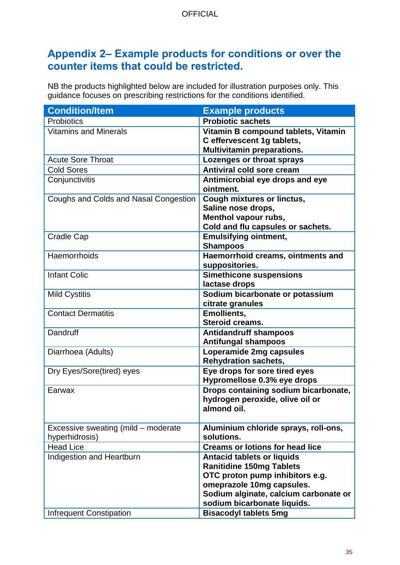# <span id="page-34-0"></span>**Appendix 2– Example products for conditions or over the counter items that could be restricted.**

NB the products highlighted below are included for illustration purposes only. This guidance focuses on prescribing restrictions for the conditions identified.

| <b>Condition/Item</b>                 | <b>Example products</b>                                                                                              |
|---------------------------------------|----------------------------------------------------------------------------------------------------------------------|
| <b>Probiotics</b>                     | <b>Probiotic sachets</b>                                                                                             |
| <b>Vitamins and Minerals</b>          | Vitamin B compound tablets, Vitamin<br>C effervescent 1g tablets,                                                    |
|                                       | <b>Multivitamin preparations.</b>                                                                                    |
| <b>Acute Sore Throat</b>              | Lozenges or throat sprays                                                                                            |
| <b>Cold Sores</b>                     | <b>Antiviral cold sore cream</b>                                                                                     |
| Conjunctivitis                        | Antimicrobial eye drops and eye<br>ointment.                                                                         |
| Coughs and Colds and Nasal Congestion | <b>Cough mixtures or linctus,</b><br>Saline nose drops,<br>Menthol vapour rubs,<br>Cold and flu capsules or sachets. |
| <b>Cradle Cap</b>                     | <b>Emulsifying ointment,</b><br><b>Shampoos</b>                                                                      |
| Haemorrhoids                          | Haemorrhoid creams, ointments and<br>suppositories.                                                                  |
| <b>Infant Colic</b>                   | <b>Simethicone suspensions</b><br>lactase drops                                                                      |
| <b>Mild Cystitis</b>                  | Sodium bicarbonate or potassium<br>citrate granules                                                                  |
| <b>Contact Dermatitis</b>             | <b>Emollients,</b><br><b>Steroid creams.</b>                                                                         |
| Dandruff                              | <b>Antidandruff shampoos</b><br><b>Antifungal shampoos</b>                                                           |
| Diarrhoea (Adults)                    | Loperamide 2mg capsules<br><b>Rehydration sachets,</b>                                                               |
| Dry Eyes/Sore(tired) eyes             | Eye drops for sore tired eyes<br>Hypromellose 0.3% eye drops                                                         |
| Earwax                                | Drops containing sodium bicarbonate,<br>hydrogen peroxide, olive oil or<br>almond oil.                               |
| Excessive sweating (mild – moderate   | Aluminium chloride sprays, roll-ons,                                                                                 |
| hyperhidrosis)                        | solutions.                                                                                                           |
| <b>Head Lice</b>                      | <b>Creams or lotions for head lice</b>                                                                               |
| Indigestion and Heartburn             | <b>Antacid tablets or liquids</b>                                                                                    |
|                                       | <b>Ranitidine 150mg Tablets</b>                                                                                      |
|                                       | OTC proton pump inhibitors e.g.                                                                                      |
|                                       | omeprazole 10mg capsules.                                                                                            |
|                                       | Sodium alginate, calcium carbonate or                                                                                |
|                                       | sodium bicarbonate liquids.                                                                                          |
| <b>Infrequent Constipation</b>        | <b>Bisacodyl tablets 5mg</b>                                                                                         |